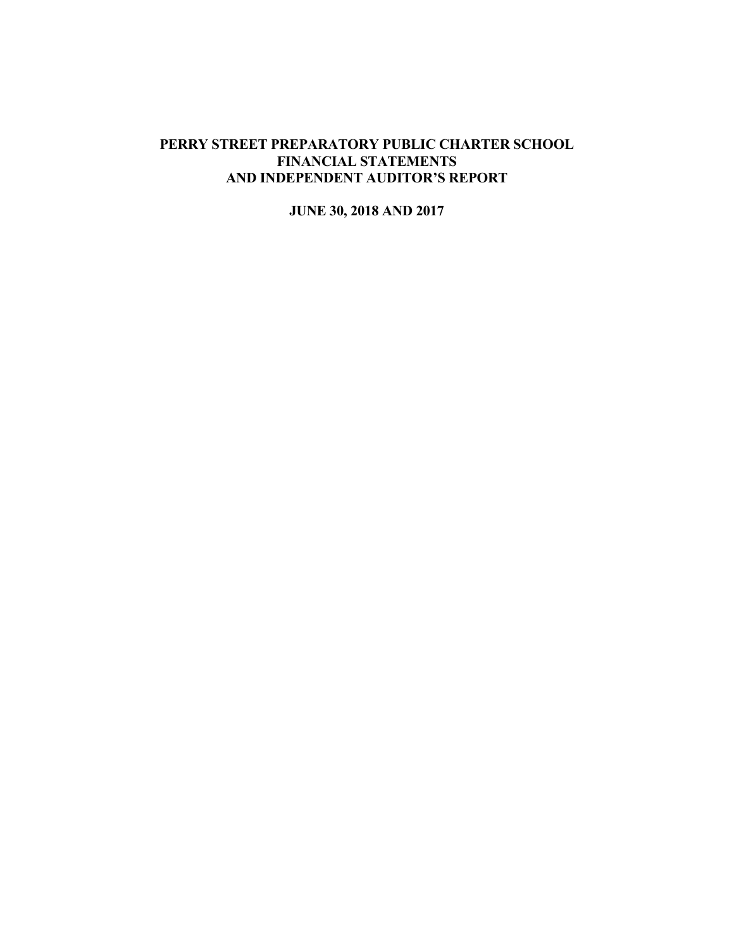## **PERRY STREET PREPARATORY PUBLIC CHARTER SCHOOL FINANCIAL STATEMENTS AND INDEPENDENT AUDITOR'S REPORT**

**JUNE 30, 2018 AND 2017**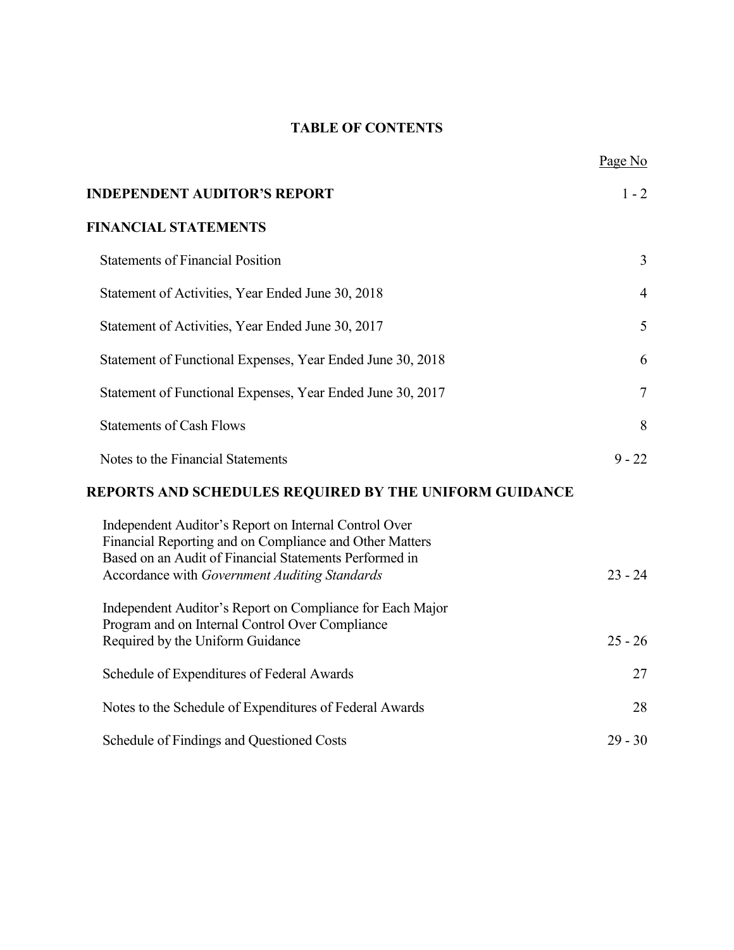# **TABLE OF CONTENTS**

|                                                                                                                                                                                                                             | Page No        |
|-----------------------------------------------------------------------------------------------------------------------------------------------------------------------------------------------------------------------------|----------------|
| <b>INDEPENDENT AUDITOR'S REPORT</b>                                                                                                                                                                                         | $1 - 2$        |
| <b>FINANCIAL STATEMENTS</b>                                                                                                                                                                                                 |                |
| <b>Statements of Financial Position</b>                                                                                                                                                                                     | 3              |
| Statement of Activities, Year Ended June 30, 2018                                                                                                                                                                           | $\overline{4}$ |
| Statement of Activities, Year Ended June 30, 2017                                                                                                                                                                           | 5              |
| Statement of Functional Expenses, Year Ended June 30, 2018                                                                                                                                                                  | 6              |
| Statement of Functional Expenses, Year Ended June 30, 2017                                                                                                                                                                  | $\overline{7}$ |
| <b>Statements of Cash Flows</b>                                                                                                                                                                                             | 8              |
| Notes to the Financial Statements                                                                                                                                                                                           | $9 - 22$       |
| REPORTS AND SCHEDULES REQUIRED BY THE UNIFORM GUIDANCE                                                                                                                                                                      |                |
| Independent Auditor's Report on Internal Control Over<br>Financial Reporting and on Compliance and Other Matters<br>Based on an Audit of Financial Statements Performed in<br>Accordance with Government Auditing Standards | $23 - 24$      |
| Independent Auditor's Report on Compliance for Each Major<br>Program and on Internal Control Over Compliance<br>Required by the Uniform Guidance                                                                            | $25 - 26$      |
| Schedule of Expenditures of Federal Awards                                                                                                                                                                                  | 27             |
| Notes to the Schedule of Expenditures of Federal Awards                                                                                                                                                                     | 28             |
| Schedule of Findings and Questioned Costs                                                                                                                                                                                   | $29 - 30$      |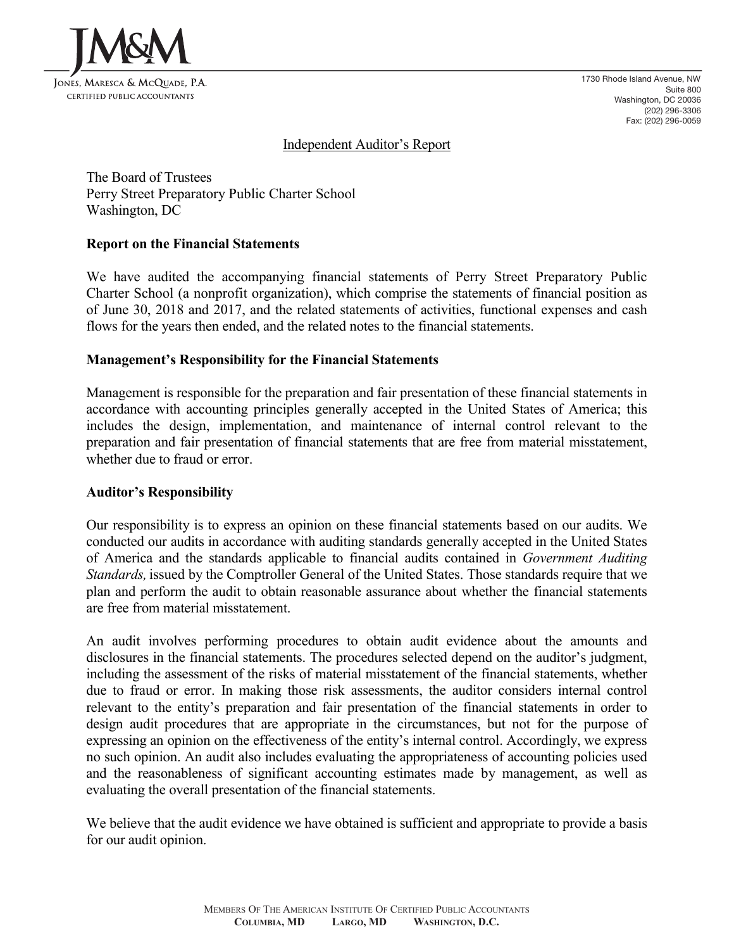

1730 Rhode Island Avenue, NW Suite 800 Washington, DC 20036 (202) 296-3306 Fax: (202) 296-0059

### Independent Auditor's Report

The Board of Trustees Perry Street Preparatory Public Charter School Washington, DC

### **Report on the Financial Statements**

We have audited the accompanying financial statements of Perry Street Preparatory Public Charter School (a nonprofit organization), which comprise the statements of financial position as of June 30, 2018 and 2017, and the related statements of activities, functional expenses and cash flows for the years then ended, and the related notes to the financial statements.

### **Management's Responsibility for the Financial Statements**

Management is responsible for the preparation and fair presentation of these financial statements in accordance with accounting principles generally accepted in the United States of America; this includes the design, implementation, and maintenance of internal control relevant to the preparation and fair presentation of financial statements that are free from material misstatement, whether due to fraud or error.

### **Auditor's Responsibility**

Our responsibility is to express an opinion on these financial statements based on our audits. We conducted our audits in accordance with auditing standards generally accepted in the United States of America and the standards applicable to financial audits contained in *Government Auditing Standards,* issued by the Comptroller General of the United States. Those standards require that we plan and perform the audit to obtain reasonable assurance about whether the financial statements are free from material misstatement.

An audit involves performing procedures to obtain audit evidence about the amounts and disclosures in the financial statements. The procedures selected depend on the auditor's judgment, including the assessment of the risks of material misstatement of the financial statements, whether due to fraud or error. In making those risk assessments, the auditor considers internal control relevant to the entity's preparation and fair presentation of the financial statements in order to design audit procedures that are appropriate in the circumstances, but not for the purpose of expressing an opinion on the effectiveness of the entity's internal control. Accordingly, we express no such opinion. An audit also includes evaluating the appropriateness of accounting policies used and the reasonableness of significant accounting estimates made by management, as well as evaluating the overall presentation of the financial statements.

We believe that the audit evidence we have obtained is sufficient and appropriate to provide a basis for our audit opinion.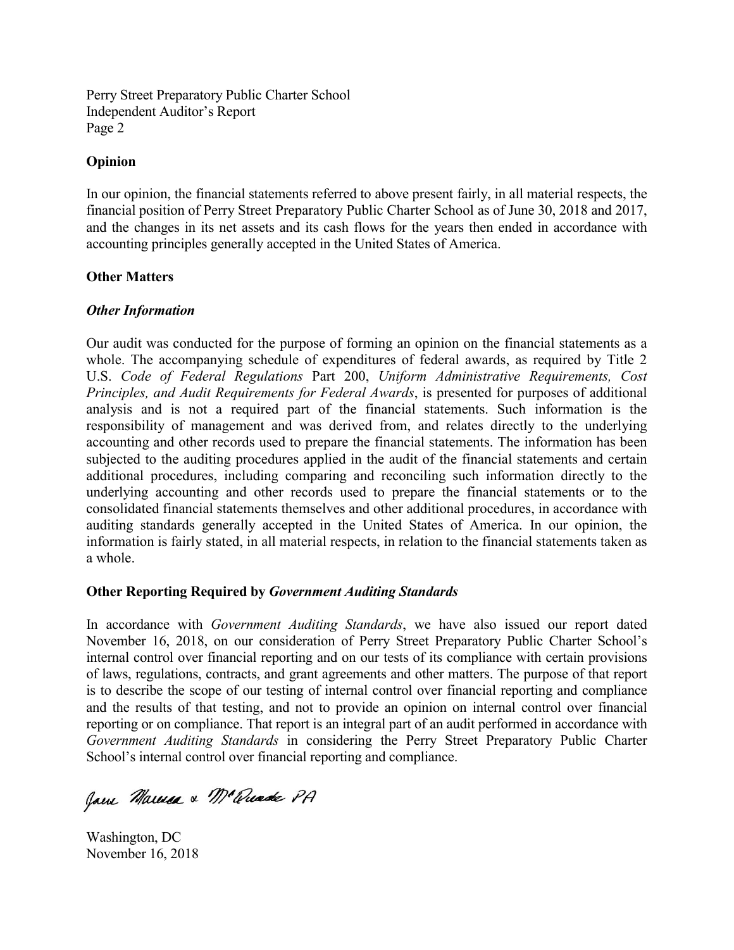Perry Street Preparatory Public Charter School Independent Auditor's Report Page 2

## **Opinion**

In our opinion, the financial statements referred to above present fairly, in all material respects, the financial position of Perry Street Preparatory Public Charter School as of June 30, 2018 and 2017, and the changes in its net assets and its cash flows for the years then ended in accordance with accounting principles generally accepted in the United States of America.

## **Other Matters**

## *Other Information*

Our audit was conducted for the purpose of forming an opinion on the financial statements as a whole. The accompanying schedule of expenditures of federal awards, as required by Title 2 U.S. *Code of Federal Regulations* Part 200, *Uniform Administrative Requirements, Cost Principles, and Audit Requirements for Federal Awards*, is presented for purposes of additional analysis and is not a required part of the financial statements. Such information is the responsibility of management and was derived from, and relates directly to the underlying accounting and other records used to prepare the financial statements. The information has been subjected to the auditing procedures applied in the audit of the financial statements and certain additional procedures, including comparing and reconciling such information directly to the underlying accounting and other records used to prepare the financial statements or to the consolidated financial statements themselves and other additional procedures, in accordance with auditing standards generally accepted in the United States of America. In our opinion, the information is fairly stated, in all material respects, in relation to the financial statements taken as a whole.

# **Other Reporting Required by** *Government Auditing Standards*

In accordance with *Government Auditing Standards*, we have also issued our report dated November 16, 2018, on our consideration of Perry Street Preparatory Public Charter School's internal control over financial reporting and on our tests of its compliance with certain provisions of laws, regulations, contracts, and grant agreements and other matters. The purpose of that report is to describe the scope of our testing of internal control over financial reporting and compliance and the results of that testing, and not to provide an opinion on internal control over financial reporting or on compliance. That report is an integral part of an audit performed in accordance with *Government Auditing Standards* in considering the Perry Street Preparatory Public Charter School's internal control over financial reporting and compliance.

Jam Marinea & Ma Quade PA

Washington, DC November 16, 2018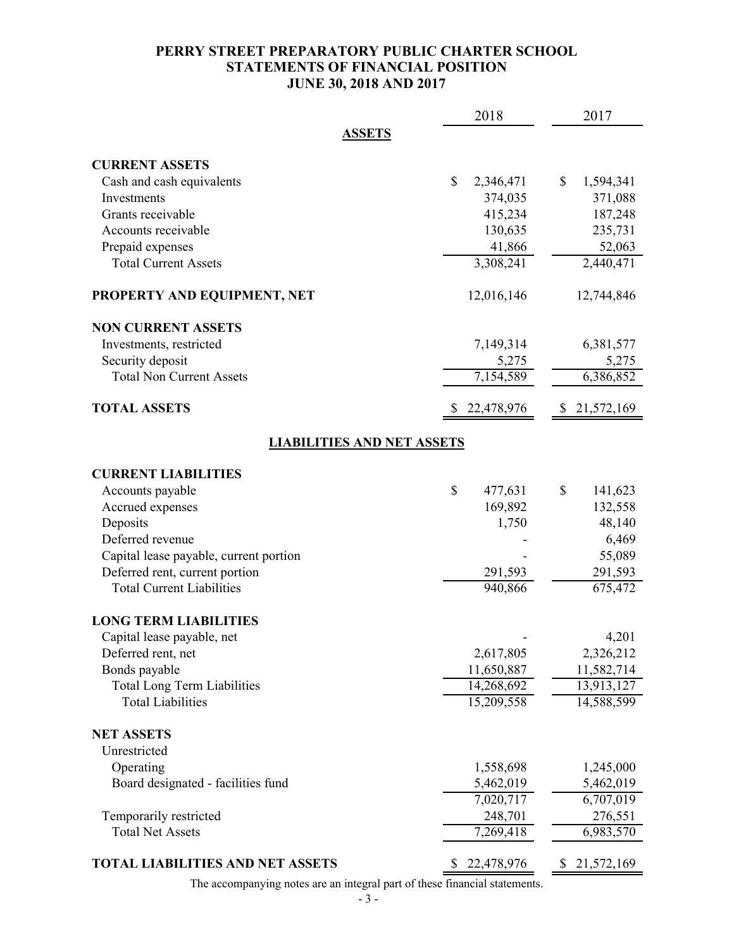# **PERRY STREET PREPARATORY PUBLIC CHARTER SCHOOL STATEMENTS OF FINANCIAL POSITION JUNE 30, 2018 AND 2017**

|                                         | 2018             | 2017             |
|-----------------------------------------|------------------|------------------|
| <b>ASSETS</b>                           |                  |                  |
| <b>CURRENT ASSETS</b>                   |                  |                  |
| Cash and cash equivalents               | \$<br>2,346,471  | \$<br>1,594,341  |
| Investments                             | 374,035          | 371,088          |
| Grants receivable                       | 415,234          | 187,248          |
| Accounts receivable                     | 130,635          | 235,731          |
| Prepaid expenses                        | 41,866           | 52,063           |
| <b>Total Current Assets</b>             | 3,308,241        | 2,440,471        |
| PROPERTY AND EQUIPMENT, NET             | 12,016,146       | 12,744,846       |
| <b>NON CURRENT ASSETS</b>               |                  |                  |
| Investments, restricted                 | 7,149,314        | 6,381,577        |
| Security deposit                        | 5,275            | 5,275            |
| <b>Total Non Current Assets</b>         | 7,154,589        | 6,386,852        |
| <b>TOTAL ASSETS</b>                     | 22,478,976       | 21,572,169<br>S. |
| <b>LIABILITIES AND NET ASSETS</b>       |                  |                  |
| <b>CURRENT LIABILITIES</b>              |                  |                  |
| Accounts payable                        | \$<br>477,631    | \$<br>141,623    |
| Accrued expenses                        | 169,892          | 132,558          |
| Deposits                                | 1,750            | 48,140           |
| Deferred revenue                        |                  | 6,469            |
| Capital lease payable, current portion  |                  | 55,089           |
| Deferred rent, current portion          | 291,593          | 291,593          |
| <b>Total Current Liabilities</b>        | 940,866          | 675,472          |
| <b>LONG TERM LIABILITIES</b>            |                  |                  |
| Capital lease payable, net              |                  | 4,201            |
| Deferred rent, net                      | 2,617,805        | 2,326,212        |
| Bonds payable                           | 11,650,887       | 11,582,714       |
| <b>Total Long Term Liabilities</b>      | 14,268,692       | 13,913,127       |
| <b>Total Liabilities</b>                | 15,209,558       | 14,588,599       |
| <b>NET ASSETS</b>                       |                  |                  |
| Unrestricted                            |                  |                  |
| Operating                               | 1,558,698        | 1,245,000        |
| Board designated - facilities fund      | 5,462,019        | 5,462,019        |
|                                         | 7,020,717        | 6,707,019        |
| Temporarily restricted                  | 248,701          | 276,551          |
| <b>Total Net Assets</b>                 | 7,269,418        | 6,983,570        |
| <b>TOTAL LIABILITIES AND NET ASSETS</b> | 22,478,976<br>\$ | 21,572,169<br>\$ |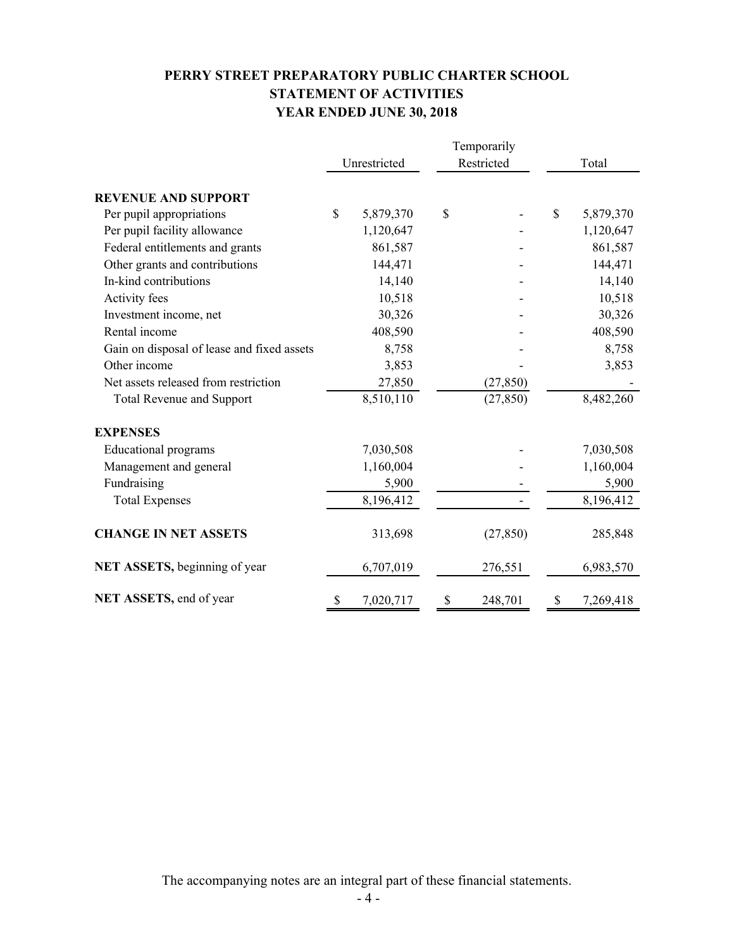# **PERRY STREET PREPARATORY PUBLIC CHARTER SCHOOL STATEMENT OF ACTIVITIES YEAR ENDED JUNE 30, 2018**

|                                            | Temporarily |              |    |            |    |           |  |
|--------------------------------------------|-------------|--------------|----|------------|----|-----------|--|
|                                            |             | Unrestricted |    | Restricted |    | Total     |  |
| <b>REVENUE AND SUPPORT</b>                 |             |              |    |            |    |           |  |
| Per pupil appropriations                   | $\mathbf S$ | 5,879,370    | \$ |            | \$ | 5,879,370 |  |
| Per pupil facility allowance               |             | 1,120,647    |    |            |    | 1,120,647 |  |
| Federal entitlements and grants            |             | 861,587      |    |            |    | 861,587   |  |
| Other grants and contributions             |             | 144,471      |    |            |    | 144,471   |  |
| In-kind contributions                      |             | 14,140       |    |            |    | 14,140    |  |
| Activity fees                              |             | 10,518       |    |            |    | 10,518    |  |
| Investment income, net                     |             | 30,326       |    |            |    | 30,326    |  |
| Rental income                              |             | 408,590      |    |            |    | 408,590   |  |
| Gain on disposal of lease and fixed assets |             | 8,758        |    |            |    | 8,758     |  |
| Other income                               |             | 3,853        |    |            |    | 3,853     |  |
| Net assets released from restriction       |             | 27,850       |    | (27, 850)  |    |           |  |
| <b>Total Revenue and Support</b>           |             | 8,510,110    |    | (27, 850)  |    | 8,482,260 |  |
| <b>EXPENSES</b>                            |             |              |    |            |    |           |  |
| <b>Educational programs</b>                |             | 7,030,508    |    |            |    | 7,030,508 |  |
| Management and general                     |             | 1,160,004    |    |            |    | 1,160,004 |  |
| Fundraising                                |             | 5,900        |    |            |    | 5,900     |  |
| <b>Total Expenses</b>                      |             | 8,196,412    |    |            |    | 8,196,412 |  |
| <b>CHANGE IN NET ASSETS</b>                |             | 313,698      |    | (27, 850)  |    | 285,848   |  |
| NET ASSETS, beginning of year              |             | 6,707,019    |    | 276,551    |    | 6,983,570 |  |
| NET ASSETS, end of year                    | \$          | 7,020,717    | \$ | 248,701    | \$ | 7,269,418 |  |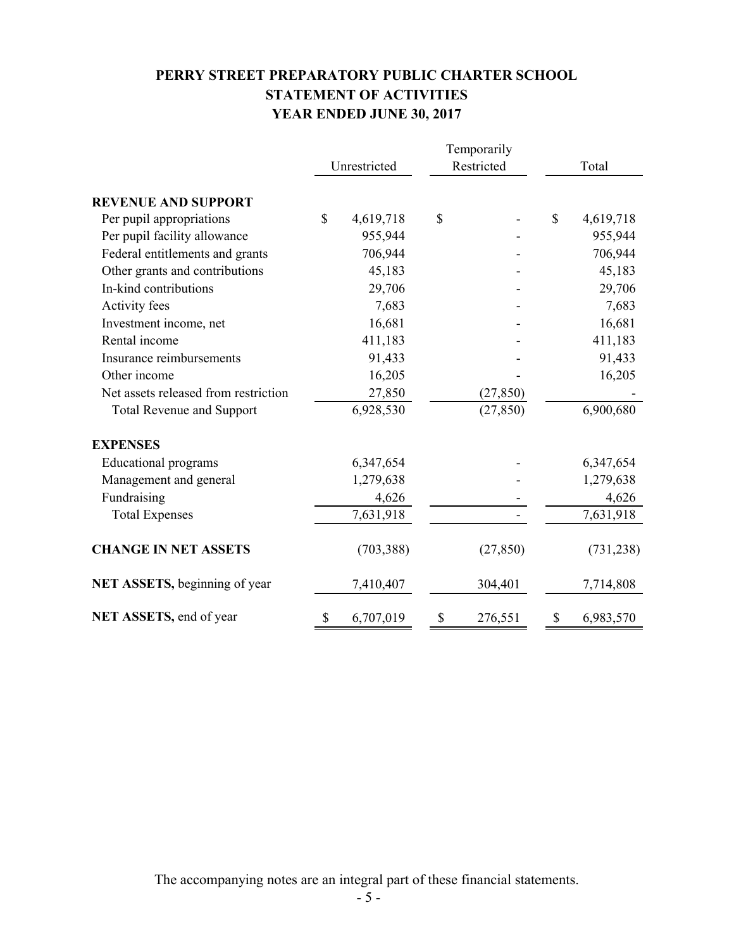# **PERRY STREET PREPARATORY PUBLIC CHARTER SCHOOL STATEMENT OF ACTIVITIES YEAR ENDED JUNE 30, 2017**

|                                      | Temporarily |              |    |            |    |            |  |
|--------------------------------------|-------------|--------------|----|------------|----|------------|--|
|                                      |             | Unrestricted |    | Restricted |    | Total      |  |
| <b>REVENUE AND SUPPORT</b>           |             |              |    |            |    |            |  |
| Per pupil appropriations             | \$          | 4,619,718    | \$ |            | \$ | 4,619,718  |  |
| Per pupil facility allowance         |             | 955,944      |    |            |    | 955,944    |  |
| Federal entitlements and grants      |             | 706,944      |    |            |    | 706,944    |  |
| Other grants and contributions       |             | 45,183       |    |            |    | 45,183     |  |
| In-kind contributions                |             | 29,706       |    |            |    | 29,706     |  |
| Activity fees                        |             | 7,683        |    |            |    | 7,683      |  |
| Investment income, net               |             | 16,681       |    |            |    | 16,681     |  |
| Rental income                        |             | 411,183      |    |            |    | 411,183    |  |
| Insurance reimbursements             |             | 91,433       |    |            |    | 91,433     |  |
| Other income                         |             | 16,205       |    |            |    | 16,205     |  |
| Net assets released from restriction |             | 27,850       |    | (27, 850)  |    |            |  |
| <b>Total Revenue and Support</b>     |             | 6,928,530    |    | (27, 850)  |    | 6,900,680  |  |
| <b>EXPENSES</b>                      |             |              |    |            |    |            |  |
| <b>Educational programs</b>          |             | 6,347,654    |    |            |    | 6,347,654  |  |
| Management and general               |             | 1,279,638    |    |            |    | 1,279,638  |  |
| Fundraising                          |             | 4,626        |    |            |    | 4,626      |  |
| <b>Total Expenses</b>                |             | 7,631,918    |    |            |    | 7,631,918  |  |
| <b>CHANGE IN NET ASSETS</b>          |             | (703, 388)   |    | (27, 850)  |    | (731, 238) |  |
| NET ASSETS, beginning of year        |             | 7,410,407    |    | 304,401    |    | 7,714,808  |  |
| NET ASSETS, end of year              | \$          | 6,707,019    | \$ | 276,551    | \$ | 6,983,570  |  |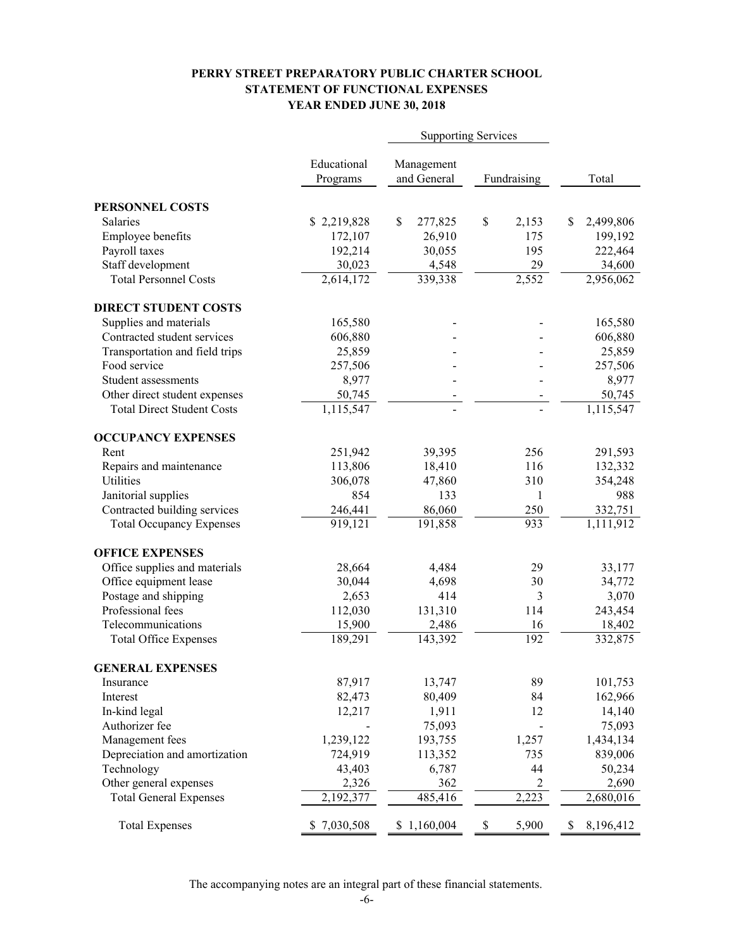### **PERRY STREET PREPARATORY PUBLIC CHARTER SCHOOL STATEMENT OF FUNCTIONAL EXPENSES YEAR ENDED JUNE 30, 2018**

|                                   |             | <b>Supporting Services</b> |                  |                 |
|-----------------------------------|-------------|----------------------------|------------------|-----------------|
|                                   | Educational | Management                 |                  |                 |
|                                   | Programs    | and General                | Fundraising      | Total           |
| <b>PERSONNEL COSTS</b>            |             |                            |                  |                 |
| <b>Salaries</b>                   | \$2,219,828 | \$<br>277,825              | \$<br>2,153      | \$<br>2,499,806 |
| Employee benefits                 | 172,107     | 26,910                     | 175              | 199,192         |
| Payroll taxes                     | 192,214     | 30,055                     | 195              | 222,464         |
| Staff development                 | 30,023      | 4,548                      | 29               | 34,600          |
| <b>Total Personnel Costs</b>      | 2,614,172   | 339,338                    | 2,552            | 2,956,062       |
| <b>DIRECT STUDENT COSTS</b>       |             |                            |                  |                 |
| Supplies and materials            | 165,580     |                            |                  | 165,580         |
| Contracted student services       | 606,880     |                            |                  | 606,880         |
| Transportation and field trips    | 25,859      |                            |                  | 25,859          |
| Food service                      | 257,506     |                            |                  | 257,506         |
| Student assessments               | 8,977       |                            |                  | 8,977           |
| Other direct student expenses     | 50,745      |                            |                  | 50,745          |
| <b>Total Direct Student Costs</b> | 1,115,547   |                            |                  | 1,115,547       |
| <b>OCCUPANCY EXPENSES</b>         |             |                            |                  |                 |
| Rent                              | 251,942     | 39,395                     | 256              | 291,593         |
| Repairs and maintenance           | 113,806     | 18,410                     | 116              | 132,332         |
| <b>Utilities</b>                  | 306,078     | 47,860                     | 310              | 354,248         |
| Janitorial supplies               | 854         | 133                        | $\mathbf{1}$     | 988             |
| Contracted building services      | 246,441     | 86,060                     | 250              | 332,751         |
| <b>Total Occupancy Expenses</b>   | 919,121     | 191,858                    | 933              | 1,111,912       |
|                                   |             |                            |                  |                 |
| <b>OFFICE EXPENSES</b>            |             |                            |                  |                 |
| Office supplies and materials     | 28,664      | 4,484                      | 29               | 33,177          |
| Office equipment lease            | 30,044      | 4,698                      | 30               | 34,772          |
| Postage and shipping              | 2,653       | 414                        | 3                | 3,070           |
| Professional fees                 | 112,030     | 131,310                    | 114              | 243,454         |
| Telecommunications                | 15,900      | 2,486                      | 16               | 18,402          |
| <b>Total Office Expenses</b>      | 189,291     | 143,392                    | $\overline{192}$ | 332,875         |
| <b>GENERAL EXPENSES</b>           |             |                            |                  |                 |
| Insurance                         | 87,917      | 13,747                     | 89               | 101,753         |
| Interest                          | 82,473      | 80,409                     | 84               | 162,966         |
| In-kind legal                     | 12,217      | 1,911                      | 12               | 14,140          |
| Authorizer fee                    |             | 75,093                     |                  | 75,093          |
| Management fees                   | 1,239,122   | 193,755                    | 1,257            | 1,434,134       |
| Depreciation and amortization     | 724,919     | 113,352                    | 735              | 839,006         |
| Technology                        | 43,403      | 6,787                      | 44               | 50,234          |
| Other general expenses            | 2,326       | 362                        | $\overline{2}$   | 2,690           |
| <b>Total General Expenses</b>     | 2,192,377   | 485,416                    | 2,223            | 2,680,016       |
| <b>Total Expenses</b>             | \$7,030,508 | \$1,160,004                | \$<br>5,900      | 8,196,412<br>\$ |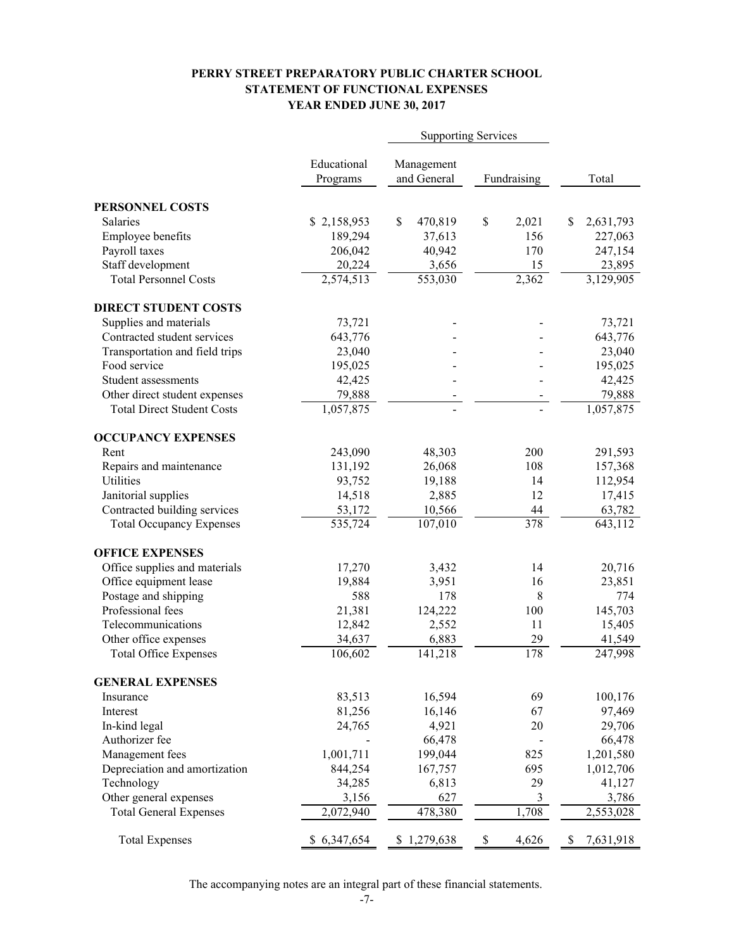### **PERRY STREET PREPARATORY PUBLIC CHARTER SCHOOL STATEMENT OF FUNCTIONAL EXPENSES YEAR ENDED JUNE 30, 2017**

|                                   |             | <b>Supporting Services</b> |                      |                 |
|-----------------------------------|-------------|----------------------------|----------------------|-----------------|
|                                   | Educational | Management                 |                      |                 |
|                                   | Programs    | and General                | Fundraising          | Total           |
|                                   |             |                            |                      |                 |
| <b>PERSONNEL COSTS</b>            |             |                            |                      |                 |
| Salaries                          | \$2,158,953 | \$<br>470,819              | \$<br>2,021          | \$<br>2,631,793 |
| Employee benefits                 | 189,294     | 37,613                     | 156                  | 227,063         |
| Payroll taxes                     | 206,042     | 40,942                     | 170                  | 247,154         |
| Staff development                 | 20,224      | 3,656                      | 15                   | 23,895          |
| <b>Total Personnel Costs</b>      | 2,574,513   | 553,030                    | 2,362                | 3,129,905       |
| <b>DIRECT STUDENT COSTS</b>       |             |                            |                      |                 |
| Supplies and materials            | 73,721      |                            |                      | 73,721          |
| Contracted student services       | 643,776     |                            |                      | 643,776         |
| Transportation and field trips    | 23,040      |                            |                      | 23,040          |
| Food service                      | 195,025     |                            |                      | 195,025         |
| Student assessments               | 42,425      |                            |                      | 42,425          |
| Other direct student expenses     | 79,888      |                            |                      | 79,888          |
| <b>Total Direct Student Costs</b> | 1,057,875   |                            |                      | 1,057,875       |
|                                   |             |                            |                      |                 |
| <b>OCCUPANCY EXPENSES</b>         |             |                            |                      |                 |
| Rent                              | 243,090     | 48,303                     | 200                  | 291,593         |
| Repairs and maintenance           | 131,192     | 26,068                     | 108                  | 157,368         |
| Utilities                         | 93,752      | 19,188                     | 14                   | 112,954         |
| Janitorial supplies               | 14,518      | 2,885                      | 12                   | 17,415          |
| Contracted building services      | 53,172      | 10,566                     | 44                   | 63,782          |
| <b>Total Occupancy Expenses</b>   | 535,724     | 107,010                    | 378                  | 643,112         |
| <b>OFFICE EXPENSES</b>            |             |                            |                      |                 |
| Office supplies and materials     | 17,270      | 3,432                      | 14                   | 20,716          |
| Office equipment lease            | 19,884      | 3,951                      | 16                   | 23,851          |
| Postage and shipping              | 588         | 178                        | 8                    | 774             |
| Professional fees                 | 21,381      | 124,222                    | 100                  | 145,703         |
| Telecommunications                | 12,842      | 2,552                      | 11                   | 15,405          |
| Other office expenses             | 34,637      | 6,883                      | 29                   | 41,549          |
| <b>Total Office Expenses</b>      | 106,602     | 141,218                    | 178                  | 247,998         |
|                                   |             |                            |                      |                 |
| <b>GENERAL EXPENSES</b>           |             | 16,594                     | 69                   | 100,176         |
| Insurance                         | 83,513      |                            |                      |                 |
| Interest                          | 81,256      | 16,146                     | 67                   | 97,469          |
| In-kind legal                     | 24,765      | 4,921                      | 20                   | 29,706          |
| Authorizer fee                    |             | 66,478                     |                      | 66,478          |
| Management fees                   | 1,001,711   | 199,044                    | 825                  | 1,201,580       |
| Depreciation and amortization     | 844,254     | 167,757                    | 695                  | 1,012,706       |
| Technology                        | 34,285      | 6,813                      | 29                   | 41,127          |
| Other general expenses            | 3,156       | 627                        | 3                    | 3,786           |
| <b>Total General Expenses</b>     | 2,072,940   | 478,380                    | 1,708                | 2,553,028       |
| <b>Total Expenses</b>             | \$6,347,654 | \$1,279,638                | $\mathbb S$<br>4,626 | 7,631,918<br>\$ |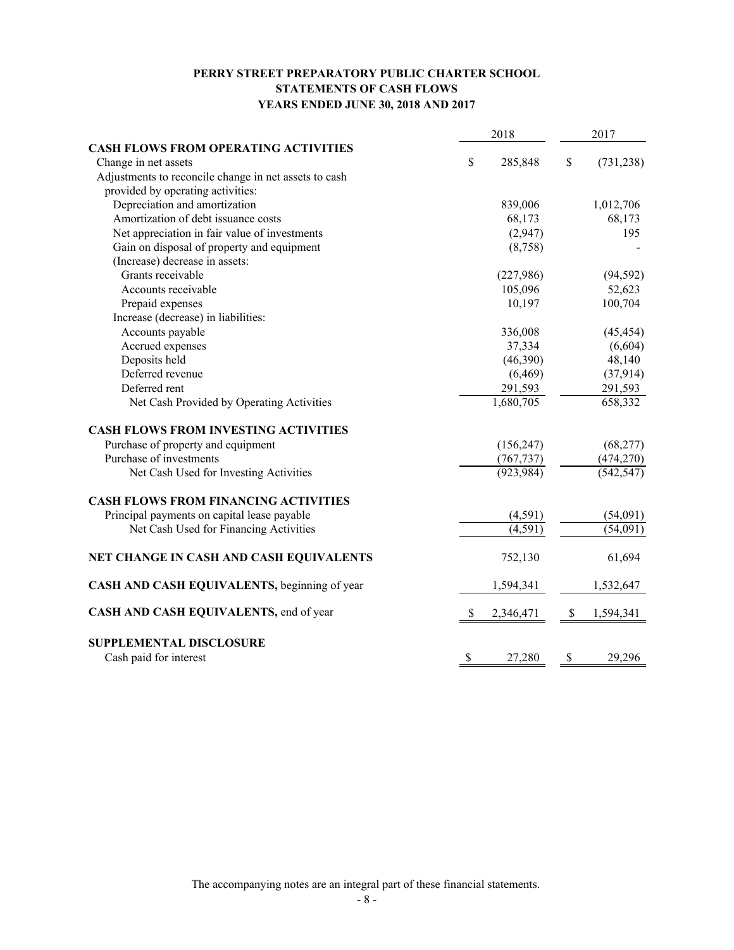### **PERRY STREET PREPARATORY PUBLIC CHARTER SCHOOL STATEMENTS OF CASH FLOWS YEARS ENDED JUNE 30, 2018 AND 2017**

|                                                       | 2018                      |            | 2017 |            |
|-------------------------------------------------------|---------------------------|------------|------|------------|
| <b>CASH FLOWS FROM OPERATING ACTIVITIES</b>           |                           |            |      |            |
| Change in net assets                                  | \$                        | 285,848    | \$   | (731, 238) |
| Adjustments to reconcile change in net assets to cash |                           |            |      |            |
| provided by operating activities:                     |                           |            |      |            |
| Depreciation and amortization                         |                           | 839,006    |      | 1,012,706  |
| Amortization of debt issuance costs                   |                           | 68,173     |      | 68,173     |
| Net appreciation in fair value of investments         |                           | (2,947)    |      | 195        |
| Gain on disposal of property and equipment            |                           | (8,758)    |      |            |
| (Increase) decrease in assets:                        |                           |            |      |            |
| Grants receivable                                     |                           | (227,986)  |      | (94, 592)  |
| Accounts receivable                                   |                           | 105,096    |      | 52,623     |
| Prepaid expenses                                      |                           | 10,197     |      | 100,704    |
| Increase (decrease) in liabilities:                   |                           |            |      |            |
| Accounts payable                                      |                           | 336,008    |      | (45, 454)  |
| Accrued expenses                                      |                           | 37,334     |      | (6,604)    |
| Deposits held                                         |                           | (46,390)   |      | 48,140     |
| Deferred revenue                                      |                           | (6, 469)   |      | (37, 914)  |
| Deferred rent                                         |                           | 291,593    |      | 291,593    |
| Net Cash Provided by Operating Activities             |                           | 1,680,705  |      | 658,332    |
| <b>CASH FLOWS FROM INVESTING ACTIVITIES</b>           |                           |            |      |            |
| Purchase of property and equipment                    |                           | (156, 247) |      | (68, 277)  |
| Purchase of investments                               |                           | (767, 737) |      | (474, 270) |
| Net Cash Used for Investing Activities                |                           | (923, 984) |      | (542, 547) |
| <b>CASH FLOWS FROM FINANCING ACTIVITIES</b>           |                           |            |      |            |
| Principal payments on capital lease payable           |                           | (4,591)    |      | (54,091)   |
| Net Cash Used for Financing Activities                |                           | (4, 591)   |      | (54,091)   |
| NET CHANGE IN CASH AND CASH EQUIVALENTS               |                           | 752,130    |      | 61,694     |
| CASH AND CASH EQUIVALENTS, beginning of year          |                           | 1,594,341  |      | 1,532,647  |
| CASH AND CASH EQUIVALENTS, end of year                | \$                        | 2,346,471  | \$   | 1,594,341  |
| SUPPLEMENTAL DISCLOSURE                               |                           |            |      |            |
| Cash paid for interest                                | $\boldsymbol{\mathsf{S}}$ | 27,280     | \$   | 29,296     |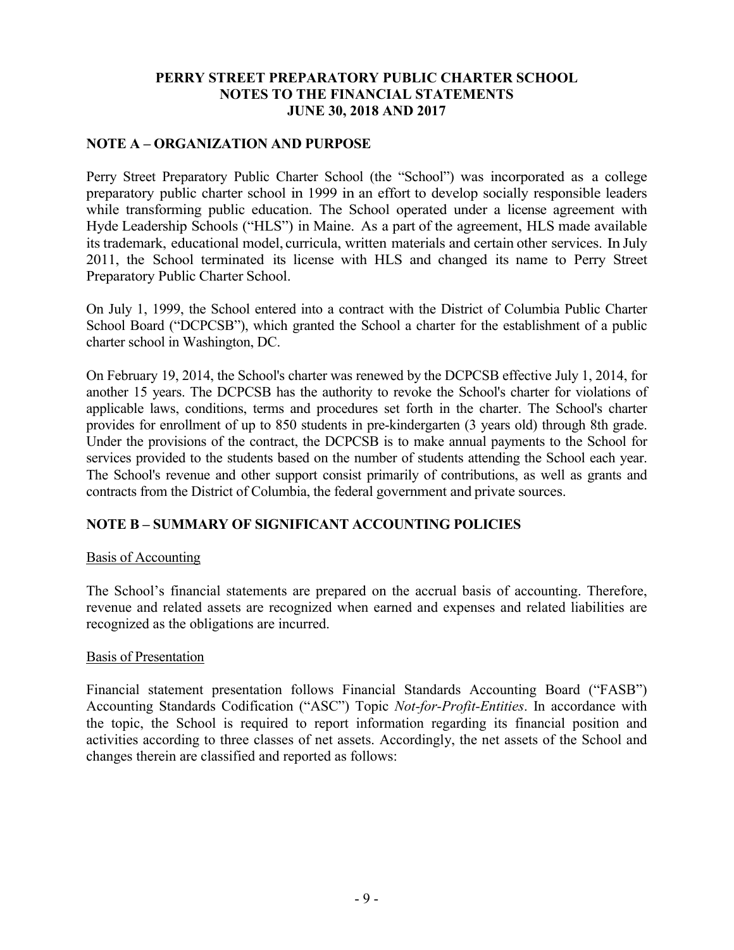## **NOTE A – ORGANIZATION AND PURPOSE**

Perry Street Preparatory Public Charter School (the "School") was incorporated as a college preparatory public charter school in 1999 in an effort to develop socially responsible leaders while transforming public education. The School operated under a license agreement with Hyde Leadership Schools ("HLS") in Maine. As a part of the agreement, HLS made available its trademark, educational model, curricula, written materials and certain other services. In July 2011, the School terminated its license with HLS and changed its name to Perry Street Preparatory Public Charter School.

On July 1, 1999, the School entered into a contract with the District of Columbia Public Charter School Board ("DCPCSB"), which granted the School a charter for the establishment of a public charter school in Washington, DC.

On February 19, 2014, the School's charter was renewed by the DCPCSB effective July 1, 2014, for another 15 years. The DCPCSB has the authority to revoke the School's charter for violations of applicable laws, conditions, terms and procedures set forth in the charter. The School's charter provides for enrollment of up to 850 students in pre-kindergarten (3 years old) through 8th grade. Under the provisions of the contract, the DCPCSB is to make annual payments to the School for services provided to the students based on the number of students attending the School each year. The School's revenue and other support consist primarily of contributions, as well as grants and contracts from the District of Columbia, the federal government and private sources.

# **NOTE B – SUMMARY OF SIGNIFICANT ACCOUNTING POLICIES**

### Basis of Accounting

The School's financial statements are prepared on the accrual basis of accounting. Therefore, revenue and related assets are recognized when earned and expenses and related liabilities are recognized as the obligations are incurred.

### Basis of Presentation

Financial statement presentation follows Financial Standards Accounting Board ("FASB") Accounting Standards Codification ("ASC") Topic *Not-for-Profit-Entities*. In accordance with the topic, the School is required to report information regarding its financial position and activities according to three classes of net assets. Accordingly, the net assets of the School and changes therein are classified and reported as follows: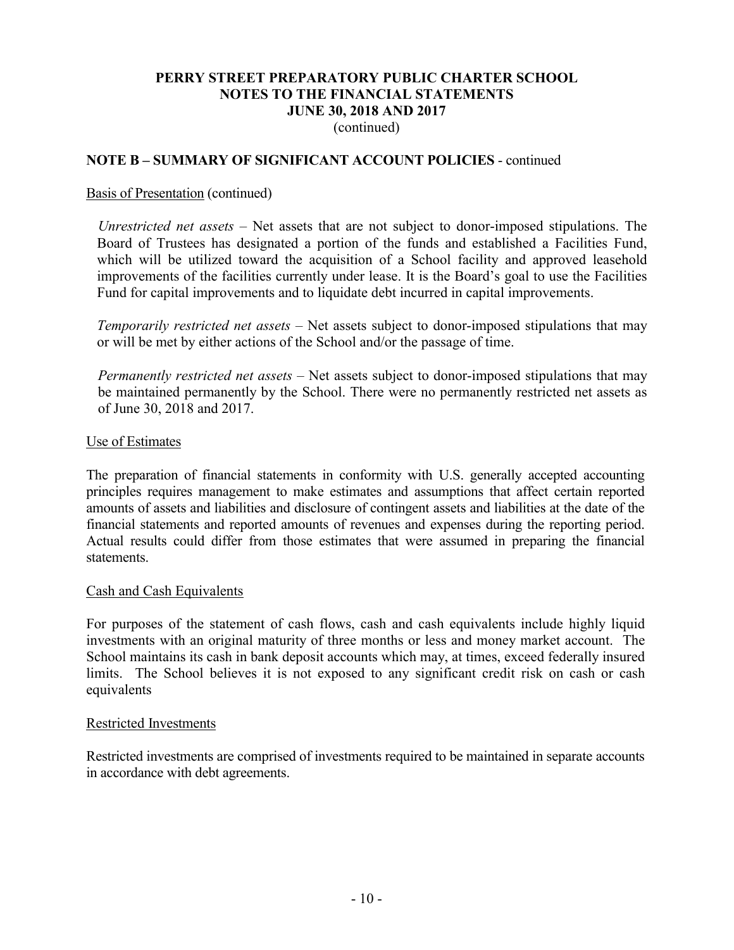(continued)

### **NOTE B – SUMMARY OF SIGNIFICANT ACCOUNT POLICIES** - continued

### Basis of Presentation (continued)

*Unrestricted net assets* – Net assets that are not subject to donor-imposed stipulations. The Board of Trustees has designated a portion of the funds and established a Facilities Fund, which will be utilized toward the acquisition of a School facility and approved leasehold improvements of the facilities currently under lease. It is the Board's goal to use the Facilities Fund for capital improvements and to liquidate debt incurred in capital improvements.

*Temporarily restricted net assets* – Net assets subject to donor-imposed stipulations that may or will be met by either actions of the School and/or the passage of time.

*Permanently restricted net assets* – Net assets subject to donor-imposed stipulations that may be maintained permanently by the School. There were no permanently restricted net assets as of June 30, 2018 and 2017.

### Use of Estimates

The preparation of financial statements in conformity with U.S. generally accepted accounting principles requires management to make estimates and assumptions that affect certain reported amounts of assets and liabilities and disclosure of contingent assets and liabilities at the date of the financial statements and reported amounts of revenues and expenses during the reporting period. Actual results could differ from those estimates that were assumed in preparing the financial statements.

### Cash and Cash Equivalents

For purposes of the statement of cash flows, cash and cash equivalents include highly liquid investments with an original maturity of three months or less and money market account. The School maintains its cash in bank deposit accounts which may, at times, exceed federally insured limits. The School believes it is not exposed to any significant credit risk on cash or cash equivalents

### Restricted Investments

Restricted investments are comprised of investments required to be maintained in separate accounts in accordance with debt agreements.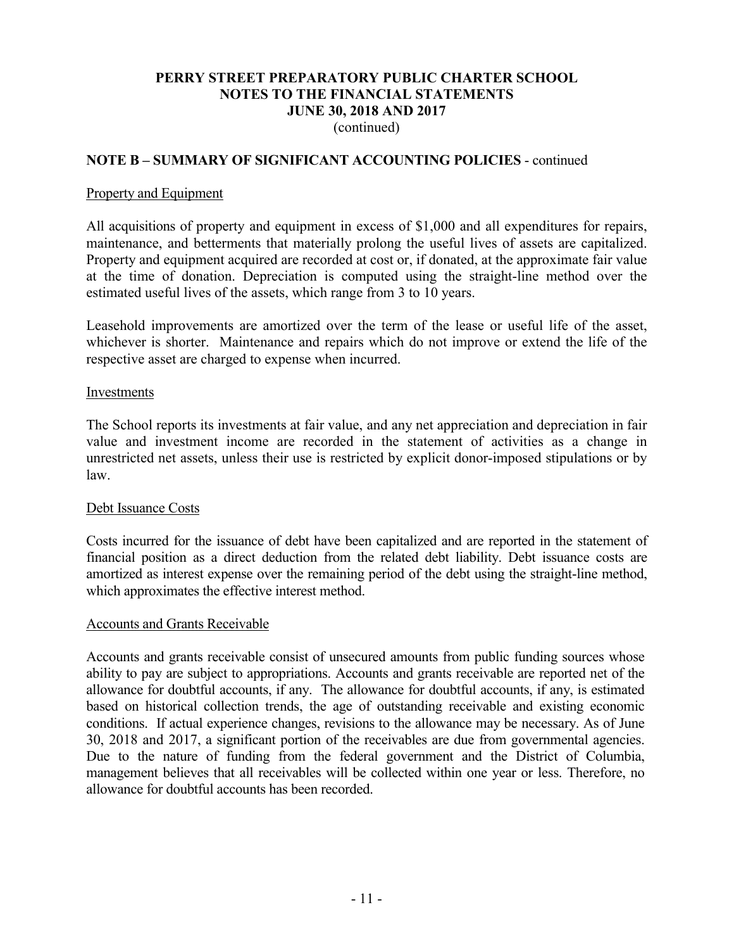(continued)

### **NOTE B – SUMMARY OF SIGNIFICANT ACCOUNTING POLICIES** - continued

### Property and Equipment

All acquisitions of property and equipment in excess of \$1,000 and all expenditures for repairs, maintenance, and betterments that materially prolong the useful lives of assets are capitalized. Property and equipment acquired are recorded at cost or, if donated, at the approximate fair value at the time of donation. Depreciation is computed using the straight-line method over the estimated useful lives of the assets, which range from 3 to 10 years.

Leasehold improvements are amortized over the term of the lease or useful life of the asset, whichever is shorter. Maintenance and repairs which do not improve or extend the life of the respective asset are charged to expense when incurred.

### Investments

The School reports its investments at fair value, and any net appreciation and depreciation in fair value and investment income are recorded in the statement of activities as a change in unrestricted net assets, unless their use is restricted by explicit donor-imposed stipulations or by law.

### Debt Issuance Costs

Costs incurred for the issuance of debt have been capitalized and are reported in the statement of financial position as a direct deduction from the related debt liability. Debt issuance costs are amortized as interest expense over the remaining period of the debt using the straight-line method, which approximates the effective interest method.

### Accounts and Grants Receivable

Accounts and grants receivable consist of unsecured amounts from public funding sources whose ability to pay are subject to appropriations. Accounts and grants receivable are reported net of the allowance for doubtful accounts, if any. The allowance for doubtful accounts, if any, is estimated based on historical collection trends, the age of outstanding receivable and existing economic conditions. If actual experience changes, revisions to the allowance may be necessary. As of June 30, 2018 and 2017, a significant portion of the receivables are due from governmental agencies. Due to the nature of funding from the federal government and the District of Columbia, management believes that all receivables will be collected within one year or less. Therefore, no allowance for doubtful accounts has been recorded.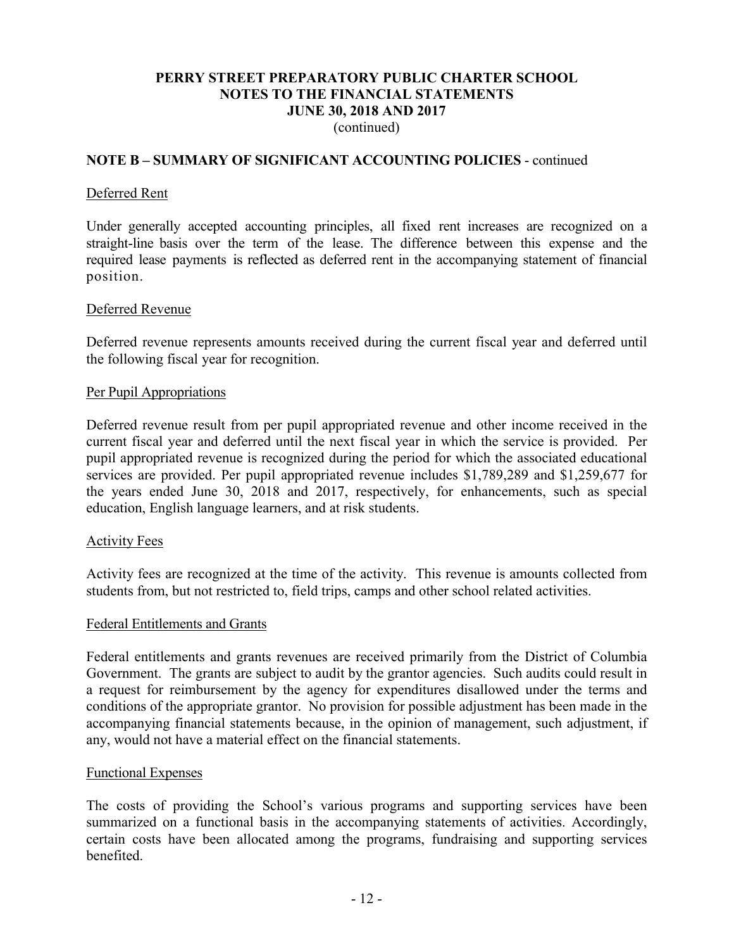(continued)

### **NOTE B – SUMMARY OF SIGNIFICANT ACCOUNTING POLICIES** - continued

### Deferred Rent

Under generally accepted accounting principles, all fixed rent increases are recognized on a straight-line basis over the term of the lease. The difference between this expense and the required lease payments is reflected as deferred rent in the accompanying statement of financial position.

### Deferred Revenue

Deferred revenue represents amounts received during the current fiscal year and deferred until the following fiscal year for recognition.

### Per Pupil Appropriations

Deferred revenue result from per pupil appropriated revenue and other income received in the current fiscal year and deferred until the next fiscal year in which the service is provided. Per pupil appropriated revenue is recognized during the period for which the associated educational services are provided. Per pupil appropriated revenue includes \$1,789,289 and \$1,259,677 for the years ended June 30, 2018 and 2017, respectively, for enhancements, such as special education, English language learners, and at risk students.

### Activity Fees

Activity fees are recognized at the time of the activity. This revenue is amounts collected from students from, but not restricted to, field trips, camps and other school related activities.

### Federal Entitlements and Grants

Federal entitlements and grants revenues are received primarily from the District of Columbia Government. The grants are subject to audit by the grantor agencies. Such audits could result in a request for reimbursement by the agency for expenditures disallowed under the terms and conditions of the appropriate grantor. No provision for possible adjustment has been made in the accompanying financial statements because, in the opinion of management, such adjustment, if any, would not have a material effect on the financial statements.

### Functional Expenses

The costs of providing the School's various programs and supporting services have been summarized on a functional basis in the accompanying statements of activities. Accordingly, certain costs have been allocated among the programs, fundraising and supporting services benefited.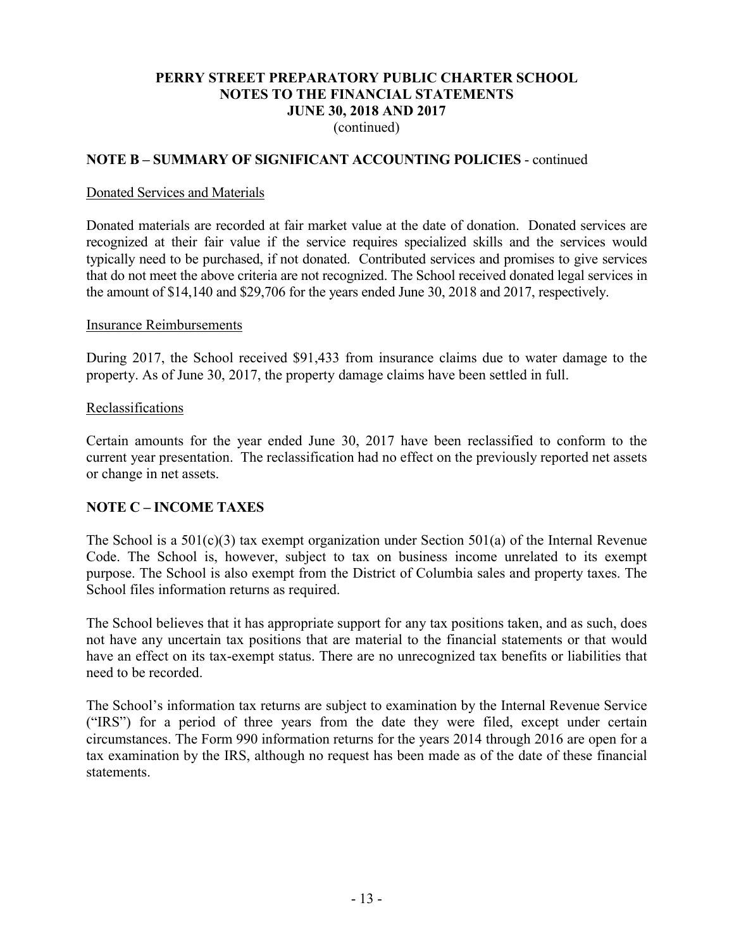(continued)

## **NOTE B – SUMMARY OF SIGNIFICANT ACCOUNTING POLICIES** - continued

### Donated Services and Materials

Donated materials are recorded at fair market value at the date of donation. Donated services are recognized at their fair value if the service requires specialized skills and the services would typically need to be purchased, if not donated. Contributed services and promises to give services that do not meet the above criteria are not recognized. The School received donated legal services in the amount of \$14,140 and \$29,706 for the years ended June 30, 2018 and 2017, respectively.

### Insurance Reimbursements

During 2017, the School received \$91,433 from insurance claims due to water damage to the property. As of June 30, 2017, the property damage claims have been settled in full.

### Reclassifications

Certain amounts for the year ended June 30, 2017 have been reclassified to conform to the current year presentation. The reclassification had no effect on the previously reported net assets or change in net assets.

# **NOTE C – INCOME TAXES**

The School is a  $501(c)(3)$  tax exempt organization under Section  $501(a)$  of the Internal Revenue Code. The School is, however, subject to tax on business income unrelated to its exempt purpose. The School is also exempt from the District of Columbia sales and property taxes. The School files information returns as required.

The School believes that it has appropriate support for any tax positions taken, and as such, does not have any uncertain tax positions that are material to the financial statements or that would have an effect on its tax-exempt status. There are no unrecognized tax benefits or liabilities that need to be recorded.

The School's information tax returns are subject to examination by the Internal Revenue Service ("IRS") for a period of three years from the date they were filed, except under certain circumstances. The Form 990 information returns for the years 2014 through 2016 are open for a tax examination by the IRS, although no request has been made as of the date of these financial statements.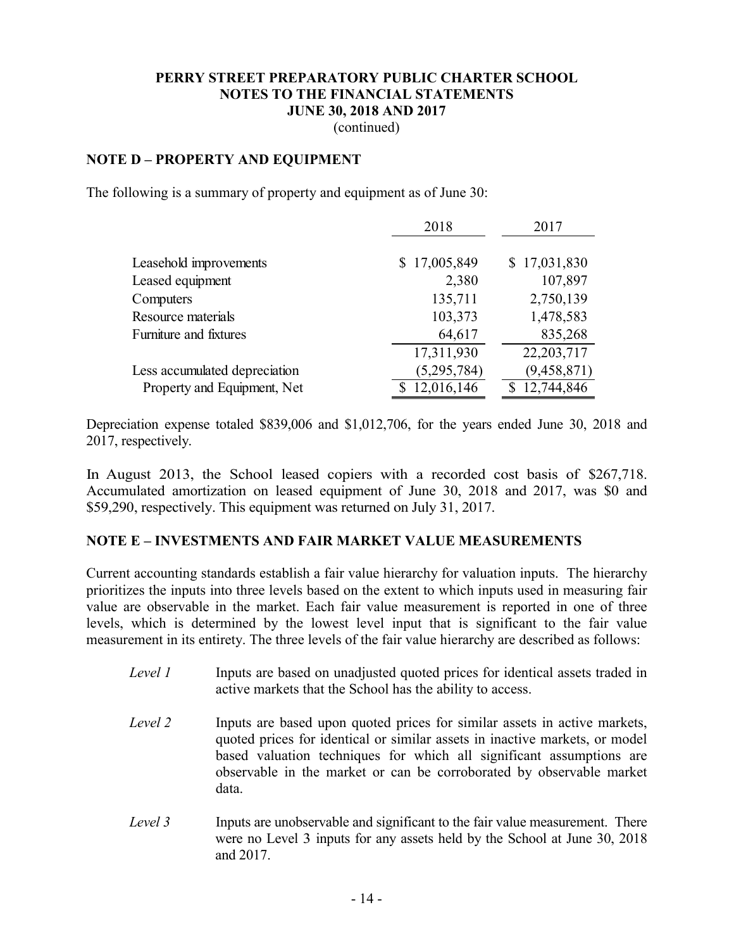(continued)

### **NOTE D – PROPERTY AND EQUIPMENT**

The following is a summary of property and equipment as of June 30:

|                               | 2018         | 2017          |
|-------------------------------|--------------|---------------|
|                               |              |               |
| Leasehold improvements        | \$17,005,849 | \$17,031,830  |
| Leased equipment              | 2,380        | 107,897       |
| Computers                     | 135,711      | 2,750,139     |
| Resource materials            | 103,373      | 1,478,583     |
| Furniture and fixtures        | 64,617       | 835,268       |
|                               | 17,311,930   | 22, 203, 717  |
| Less accumulated depreciation | (5,295,784)  | (9, 458, 871) |
| Property and Equipment, Net   | 12,016,146   | \$12,744,846  |

Depreciation expense totaled \$839,006 and \$1,012,706, for the years ended June 30, 2018 and 2017, respectively.

In August 2013, the School leased copiers with a recorded cost basis of \$267,718. Accumulated amortization on leased equipment of June 30, 2018 and 2017, was \$0 and \$59,290, respectively. This equipment was returned on July 31, 2017.

### **NOTE E – INVESTMENTS AND FAIR MARKET VALUE MEASUREMENTS**

Current accounting standards establish a fair value hierarchy for valuation inputs. The hierarchy prioritizes the inputs into three levels based on the extent to which inputs used in measuring fair value are observable in the market. Each fair value measurement is reported in one of three levels, which is determined by the lowest level input that is significant to the fair value measurement in its entirety. The three levels of the fair value hierarchy are described as follows:

- *Level 1* Inputs are based on unadjusted quoted prices for identical assets traded in active markets that the School has the ability to access.
- *Level 2* Inputs are based upon quoted prices for similar assets in active markets, quoted prices for identical or similar assets in inactive markets, or model based valuation techniques for which all significant assumptions are observable in the market or can be corroborated by observable market data.
- *Level 3* Inputs are unobservable and significant to the fair value measurement. There were no Level 3 inputs for any assets held by the School at June 30, 2018 and 2017.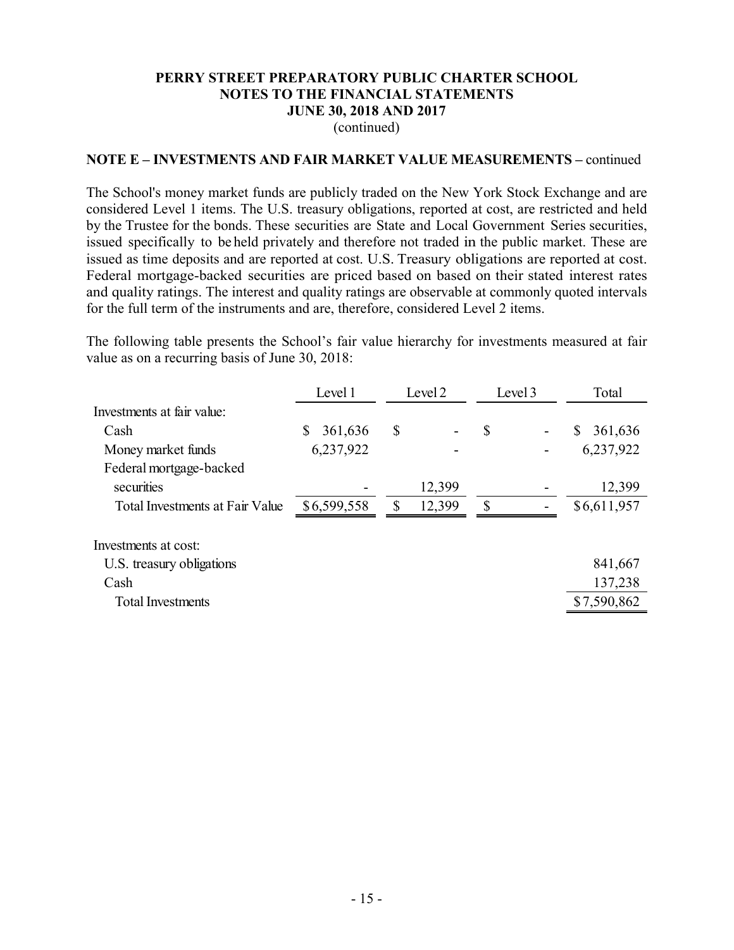(continued)

### **NOTE E – INVESTMENTS AND FAIR MARKET VALUE MEASUREMENTS –** continued

The School's money market funds are publicly traded on the New York Stock Exchange and are considered Level 1 items. The U.S. treasury obligations, reported at cost, are restricted and held by the Trustee for the bonds. These securities are State and Local Government Series securities, issued specifically to be held privately and therefore not traded in the public market. These are issued as time deposits and are reported at cost. U.S. Treasury obligations are reported at cost. Federal mortgage-backed securities are priced based on based on their stated interest rates and quality ratings. The interest and quality ratings are observable at commonly quoted intervals for the full term of the instruments and are, therefore, considered Level 2 items.

The following table presents the School's fair value hierarchy for investments measured at fair value as on a recurring basis of June 30, 2018:

|                                 | Level 1       | Level 2 | Level 3 | Total         |
|---------------------------------|---------------|---------|---------|---------------|
| Investments at fair value:      |               |         |         |               |
| Cash                            | 361,636<br>\$ | \$      | \$      | 361,636<br>\$ |
| Money market funds              | 6,237,922     |         |         | 6,237,922     |
| Federal mortgage-backed         |               |         |         |               |
| securities                      |               | 12,399  |         | 12,399        |
| Total Investments at Fair Value | \$6,599,558   | 12,399  | \$      | \$6,611,957   |
|                                 |               |         |         |               |
| Investments at cost:            |               |         |         |               |
| U.S. treasury obligations       |               |         |         | 841,667       |
| Cash                            |               |         |         | 137,238       |
| <b>Total Investments</b>        |               |         |         | \$7,590,862   |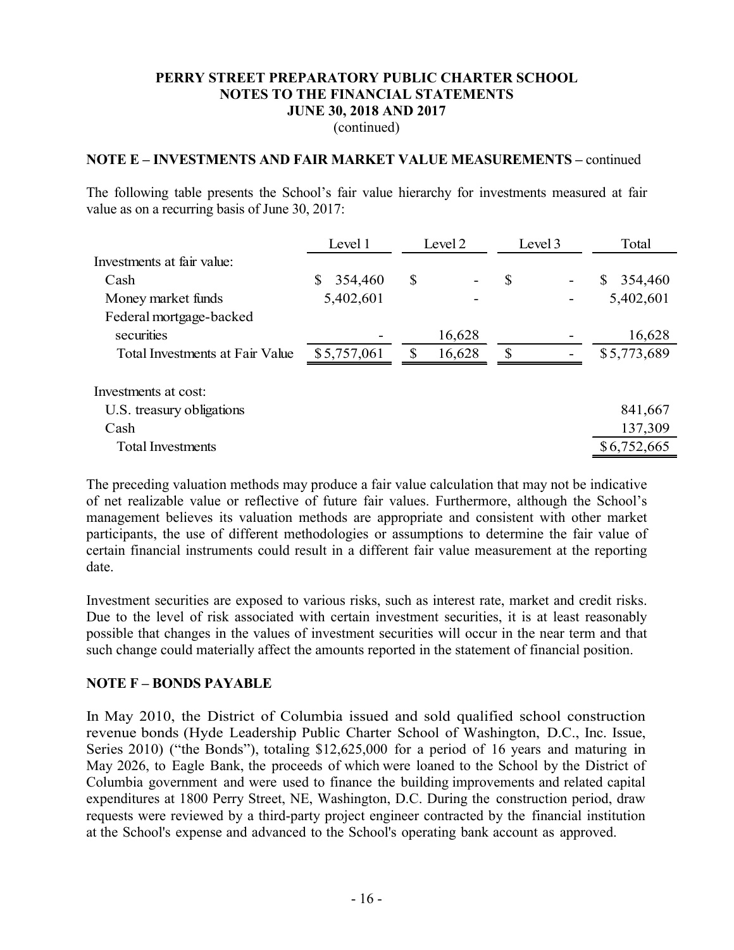(continued)

### **NOTE E – INVESTMENTS AND FAIR MARKET VALUE MEASUREMENTS –** continued

The following table presents the School's fair value hierarchy for investments measured at fair value as on a recurring basis of June 30, 2017:

|                                        | Level 1     |              | Level 2 |    | Level 3 | Total        |
|----------------------------------------|-------------|--------------|---------|----|---------|--------------|
| Investments at fair value:             |             |              |         |    |         |              |
| Cash                                   | 354,460     | $\mathbb{S}$ |         | \$ |         | 354,460<br>S |
| Money market funds                     | 5,402,601   |              |         |    |         | 5,402,601    |
| Federal mortgage-backed                |             |              |         |    |         |              |
| securities                             |             |              | 16,628  |    |         | 16,628       |
| <b>Total Investments at Fair Value</b> | \$5,757,061 | -S           | 16,628  | S  |         | \$5,773,689  |
| Investments at cost:                   |             |              |         |    |         |              |
| U.S. treasury obligations              |             |              |         |    |         | 841,667      |
| Cash                                   |             |              |         |    |         | 137,309      |
| <b>Total Investments</b>               |             |              |         |    |         | \$6,752,665  |

The preceding valuation methods may produce a fair value calculation that may not be indicative of net realizable value or reflective of future fair values. Furthermore, although the School's management believes its valuation methods are appropriate and consistent with other market participants, the use of different methodologies or assumptions to determine the fair value of certain financial instruments could result in a different fair value measurement at the reporting date.

Investment securities are exposed to various risks, such as interest rate, market and credit risks. Due to the level of risk associated with certain investment securities, it is at least reasonably possible that changes in the values of investment securities will occur in the near term and that such change could materially affect the amounts reported in the statement of financial position.

# **NOTE F – BONDS PAYABLE**

In May 2010, the District of Columbia issued and sold qualified school construction revenue bonds (Hyde Leadership Public Charter School of Washington, D.C., Inc. Issue, Series 2010) ("the Bonds"), totaling \$12,625,000 for a period of 16 years and maturing in May 2026, to Eagle Bank, the proceeds of which were loaned to the School by the District of Columbia government and were used to finance the building improvements and related capital expenditures at 1800 Perry Street, NE, Washington, D.C. During the construction period, draw requests were reviewed by a third-party project engineer contracted by the financial institution at the School's expense and advanced to the School's operating bank account as approved.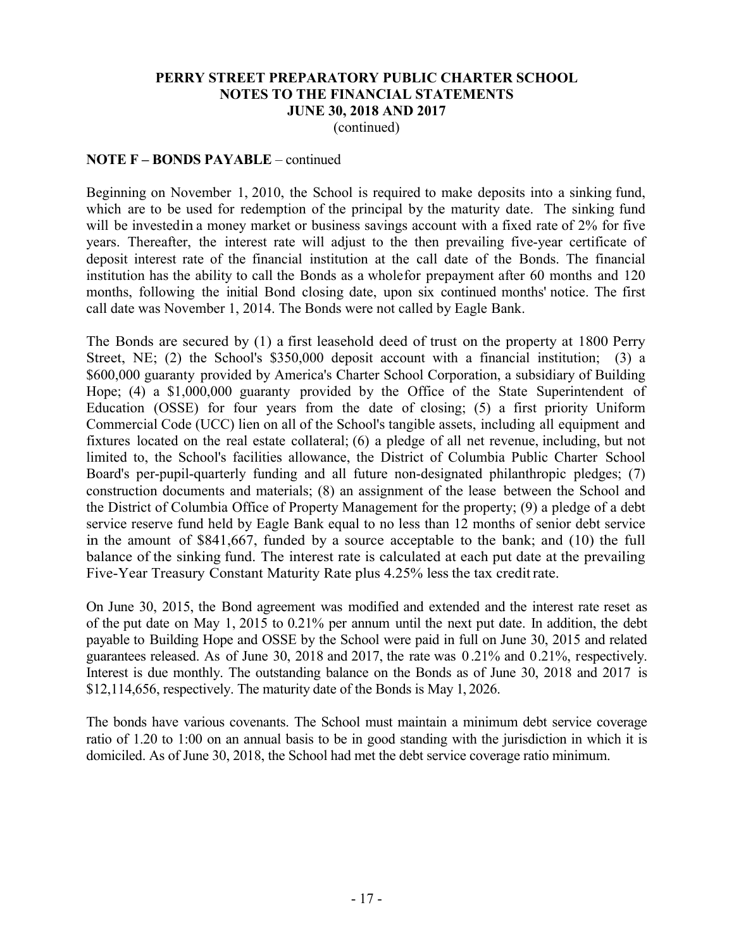(continued)

### **NOTE F – BONDS PAYABLE** – continued

Beginning on November 1, 2010, the School is required to make deposits into a sinking fund, which are to be used for redemption of the principal by the maturity date. The sinking fund will be invested in a money market or business savings account with a fixed rate of 2% for five years. Thereafter, the interest rate will adjust to the then prevailing five-year certificate of deposit interest rate of the financial institution at the call date of the Bonds. The financial institution has the ability to call the Bonds as a wholefor prepayment after 60 months and 120 months, following the initial Bond closing date, upon six continued months' notice. The first call date was November 1, 2014. The Bonds were not called by Eagle Bank.

The Bonds are secured by (1) a first leasehold deed of trust on the property at 1800 Perry Street, NE; (2) the School's \$350,000 deposit account with a financial institution; (3) a \$600,000 guaranty provided by America's Charter School Corporation, a subsidiary of Building Hope; (4) a \$1,000,000 guaranty provided by the Office of the State Superintendent of Education (OSSE) for four years from the date of closing; (5) a first priority Uniform Commercial Code (UCC) lien on all of the School's tangible assets, including all equipment and fixtures located on the real estate collateral; (6) a pledge of all net revenue, including, but not limited to, the School's facilities allowance, the District of Columbia Public Charter School Board's per-pupil-quarterly funding and all future non-designated philanthropic pledges; (7) construction documents and materials; (8) an assignment of the lease between the School and the District of Columbia Office of Property Management for the property; (9) a pledge of a debt service reserve fund held by Eagle Bank equal to no less than 12 months of senior debt service in the amount of \$841,667, funded by a source acceptable to the bank; and (10) the full balance of the sinking fund. The interest rate is calculated at each put date at the prevailing Five-Year Treasury Constant Maturity Rate plus 4.25% less the tax creditrate.

On June 30, 2015, the Bond agreement was modified and extended and the interest rate reset as of the put date on May 1, 2015 to 0.21% per annum until the next put date. In addition, the debt payable to Building Hope and OSSE by the School were paid in full on June 30, 2015 and related guarantees released. As of June 30, 2018 and 2017, the rate was 0 .21% and 0.21%, respectively. Interest is due monthly. The outstanding balance on the Bonds as of June 30, 2018 and 2017 is \$12,114,656, respectively. The maturity date of the Bonds is May 1, 2026.

The bonds have various covenants. The School must maintain a minimum debt service coverage ratio of 1.20 to 1:00 on an annual basis to be in good standing with the jurisdiction in which it is domiciled. As of June 30, 2018, the School had met the debt service coverage ratio minimum.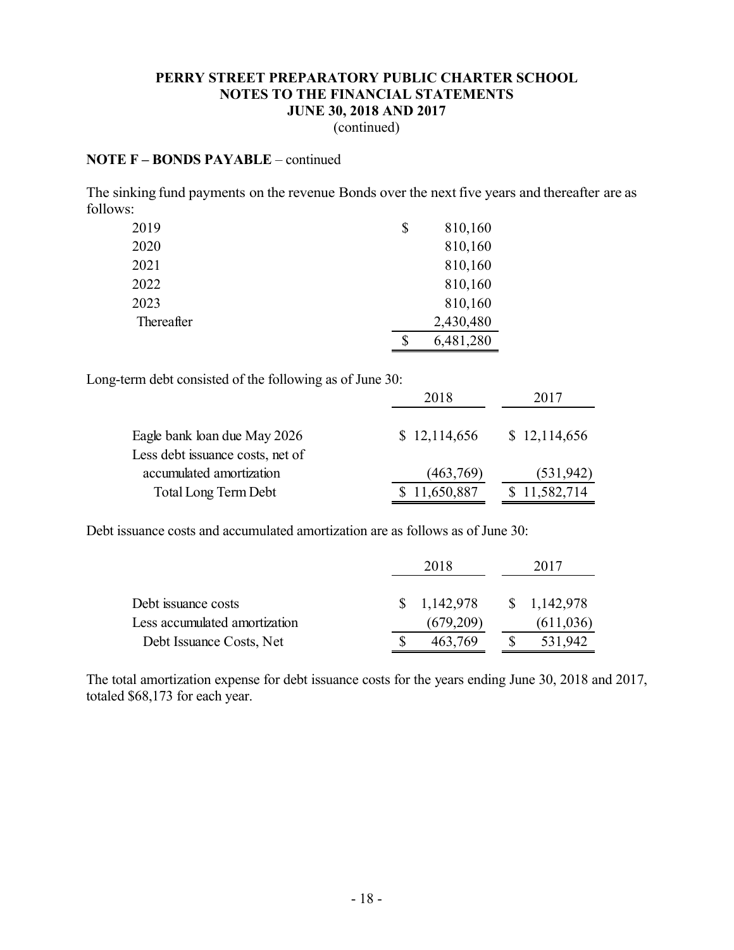(continued)

### **NOTE F – BONDS PAYABLE** – continued

The sinking fund payments on the revenue Bonds over the next five years and thereafter are as follows:

| 2019       | \$<br>810,160 |
|------------|---------------|
| 2020       | 810,160       |
| 2021       | 810,160       |
| 2022       | 810,160       |
| 2023       | 810,160       |
| Thereafter | 2,430,480     |
|            | 6,481,280     |

Long-term debt consisted of the following as of June 30:

|                                  | 2018         | 2017         |
|----------------------------------|--------------|--------------|
| Eagle bank loan due May 2026     | \$12,114,656 | \$12,114,656 |
| Less debt issuance costs, net of |              |              |
| accumulated amortization         | (463,769)    | (531, 942)   |
| <b>Total Long Term Debt</b>      | \$11,650,887 | \$11,582,714 |

Debt issuance costs and accumulated amortization are as follows as of June 30:

|                               | 2018 |                     | 2017        |  |
|-------------------------------|------|---------------------|-------------|--|
|                               |      |                     |             |  |
| Debt issuance costs           |      | $\frac{1,142,978}{$ | \$1,142,978 |  |
| Less accumulated amortization |      | (679,209)           | (611, 036)  |  |
| Debt Issuance Costs, Net      |      | 463,769             | 531,942     |  |

The total amortization expense for debt issuance costs for the years ending June 30, 2018 and 2017, totaled \$68,173 for each year.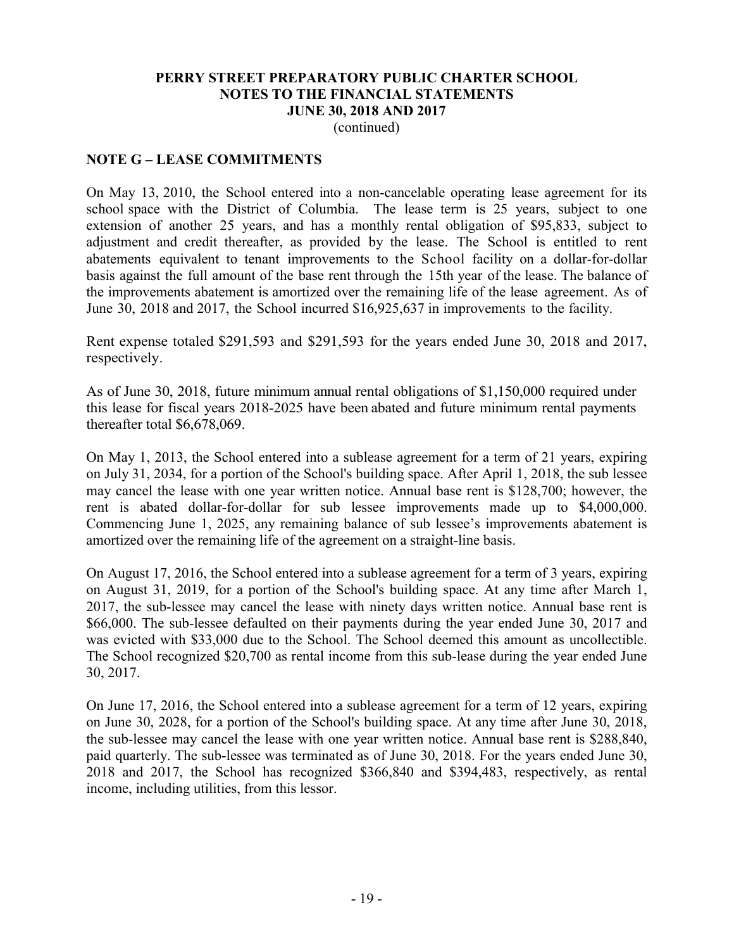(continued)

### **NOTE G – LEASE COMMITMENTS**

On May 13, 2010, the School entered into a non-cancelable operating lease agreement for its school space with the District of Columbia. The lease term is 25 years, subject to one extension of another 25 years, and has a monthly rental obligation of \$95,833, subject to adjustment and credit thereafter, as provided by the lease. The School is entitled to rent abatements equivalent to tenant improvements to the School facility on a dollar-for-dollar basis against the full amount of the base rent through the 15th year of the lease. The balance of the improvements abatement is amortized over the remaining life of the lease agreement. As of June 30, 2018 and 2017, the School incurred \$16,925,637 in improvements to the facility.

Rent expense totaled \$291,593 and \$291,593 for the years ended June 30, 2018 and 2017, respectively.

As of June 30, 2018, future minimum annual rental obligations of \$1,150,000 required under this lease for fiscal years 2018-2025 have been abated and future minimum rental payments thereafter total \$6,678,069.

On May 1, 2013, the School entered into a sublease agreement for a term of 21 years, expiring on July 31, 2034, for a portion of the School's building space. After April 1, 2018, the sub lessee may cancel the lease with one year written notice. Annual base rent is \$128,700; however, the rent is abated dollar-for-dollar for sub lessee improvements made up to \$4,000,000. Commencing June 1, 2025, any remaining balance of sub lessee's improvements abatement is amortized over the remaining life of the agreement on a straight-line basis.

On August 17, 2016, the School entered into a sublease agreement for a term of 3 years, expiring on August 31, 2019, for a portion of the School's building space. At any time after March 1, 2017, the sub-lessee may cancel the lease with ninety days written notice. Annual base rent is \$66,000. The sub-lessee defaulted on their payments during the year ended June 30, 2017 and was evicted with \$33,000 due to the School. The School deemed this amount as uncollectible. The School recognized \$20,700 as rental income from this sub-lease during the year ended June 30, 2017.

On June 17, 2016, the School entered into a sublease agreement for a term of 12 years, expiring on June 30, 2028, for a portion of the School's building space. At any time after June 30, 2018, the sub-lessee may cancel the lease with one year written notice. Annual base rent is \$288,840, paid quarterly. The sub-lessee was terminated as of June 30, 2018. For the years ended June 30, 2018 and 2017, the School has recognized \$366,840 and \$394,483, respectively, as rental income, including utilities, from this lessor.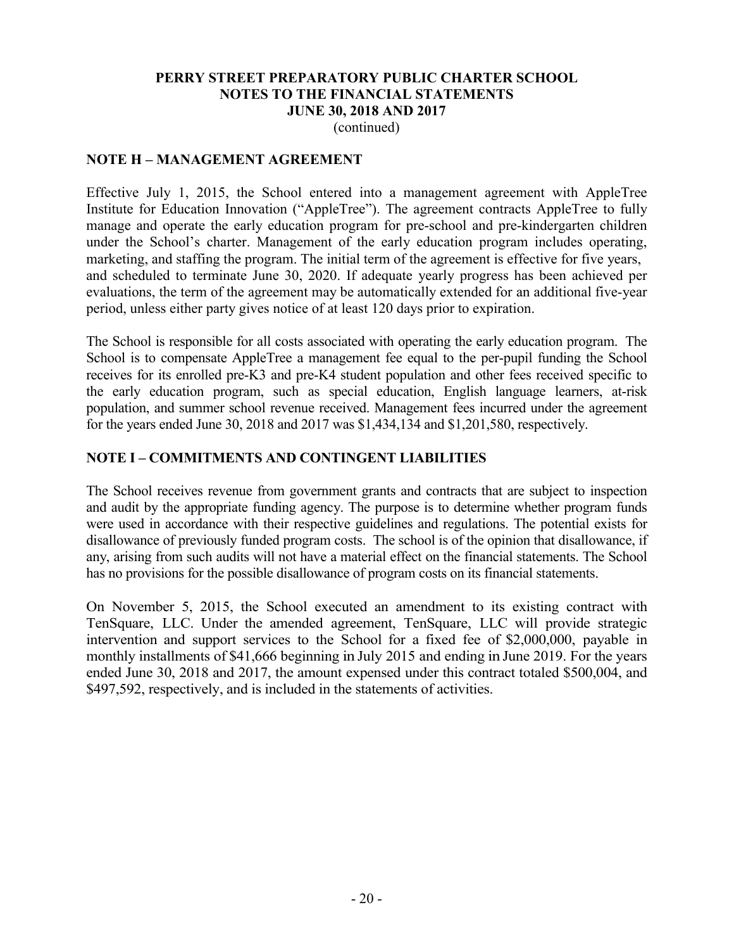(continued)

## **NOTE H – MANAGEMENT AGREEMENT**

Effective July 1, 2015, the School entered into a management agreement with AppleTree Institute for Education Innovation ("AppleTree"). The agreement contracts AppleTree to fully manage and operate the early education program for pre-school and pre-kindergarten children under the School's charter. Management of the early education program includes operating, marketing, and staffing the program. The initial term of the agreement is effective for five years, and scheduled to terminate June 30, 2020. If adequate yearly progress has been achieved per evaluations, the term of the agreement may be automatically extended for an additional five-year period, unless either party gives notice of at least 120 days prior to expiration.

The School is responsible for all costs associated with operating the early education program. The School is to compensate AppleTree a management fee equal to the per-pupil funding the School receives for its enrolled pre-K3 and pre-K4 student population and other fees received specific to the early education program, such as special education, English language learners, at-risk population, and summer school revenue received. Management fees incurred under the agreement for the years ended June 30, 2018 and 2017 was \$1,434,134 and \$1,201,580, respectively.

# **NOTE I – COMMITMENTS AND CONTINGENT LIABILITIES**

The School receives revenue from government grants and contracts that are subject to inspection and audit by the appropriate funding agency. The purpose is to determine whether program funds were used in accordance with their respective guidelines and regulations. The potential exists for disallowance of previously funded program costs. The school is of the opinion that disallowance, if any, arising from such audits will not have a material effect on the financial statements. The School has no provisions for the possible disallowance of program costs on its financial statements.

On November 5, 2015, the School executed an amendment to its existing contract with TenSquare, LLC. Under the amended agreement, TenSquare, LLC will provide strategic intervention and support services to the School for a fixed fee of \$2,000,000, payable in monthly installments of \$41,666 beginning in July 2015 and ending in June 2019. For the years ended June 30, 2018 and 2017, the amount expensed under this contract totaled \$500,004, and \$497,592, respectively, and is included in the statements of activities.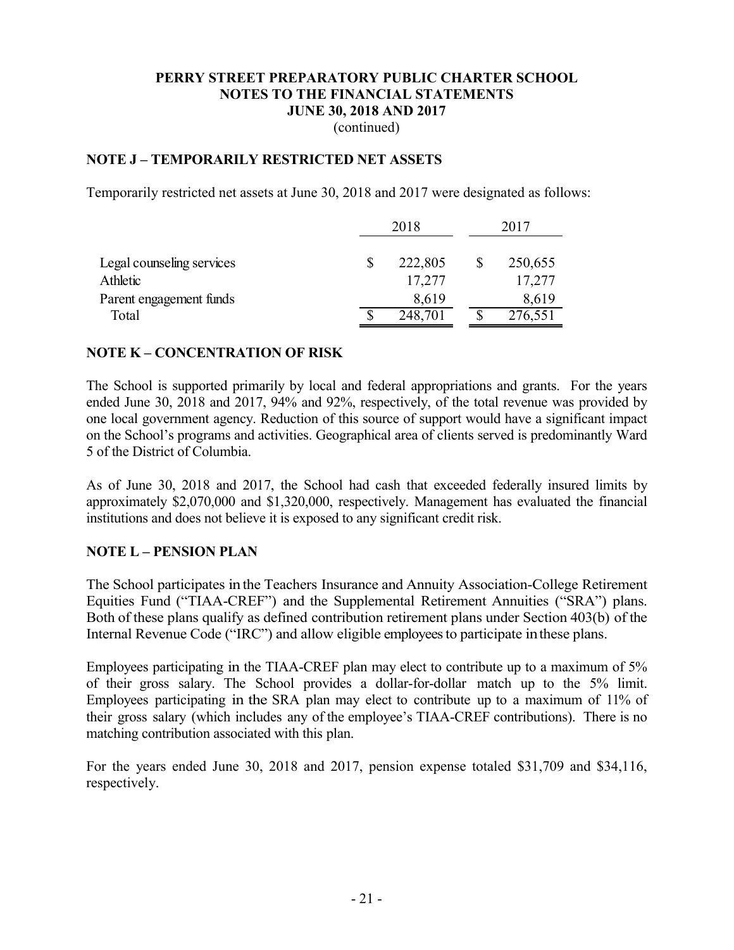(continued)

## **NOTE J – TEMPORARILY RESTRICTED NET ASSETS**

Temporarily restricted net assets at June 30, 2018 and 2017 were designated as follows:

|                           | 2018 |         | 2017    |  |
|---------------------------|------|---------|---------|--|
| Legal counseling services | \$   | 222,805 | 250,655 |  |
| Athletic                  |      | 17,277  | 17,277  |  |
| Parent engagement funds   |      | 8,619   | 8,619   |  |
| Total                     |      | 248,701 | 276,551 |  |

### **NOTE K – CONCENTRATION OF RISK**

The School is supported primarily by local and federal appropriations and grants. For the years ended June 30, 2018 and 2017, 94% and 92%, respectively, of the total revenue was provided by one local government agency. Reduction of this source of support would have a significant impact on the School's programs and activities. Geographical area of clients served is predominantly Ward 5 of the District of Columbia.

As of June 30, 2018 and 2017, the School had cash that exceeded federally insured limits by approximately \$2,070,000 and \$1,320,000, respectively. Management has evaluated the financial institutions and does not believe it is exposed to any significant credit risk.

### **NOTE L – PENSION PLAN**

The School participates in the Teachers Insurance and Annuity Association-College Retirement Equities Fund ("TIAA-CREF") and the Supplemental Retirement Annuities ("SRA") plans. Both of these plans qualify as defined contribution retirement plans under Section 403(b) of the Internal Revenue Code ("IRC") and allow eligible employees to participate inthese plans.

Employees participating in the TIAA-CREF plan may elect to contribute up to a maximum of 5% of their gross salary. The School provides a dollar-for-dollar match up to the 5% limit. Employees participating in the SRA plan may elect to contribute up to a maximum of 11% of their gross salary (which includes any of the employee's TIAA-CREF contributions). There is no matching contribution associated with this plan.

For the years ended June 30, 2018 and 2017, pension expense totaled \$31,709 and \$34,116, respectively.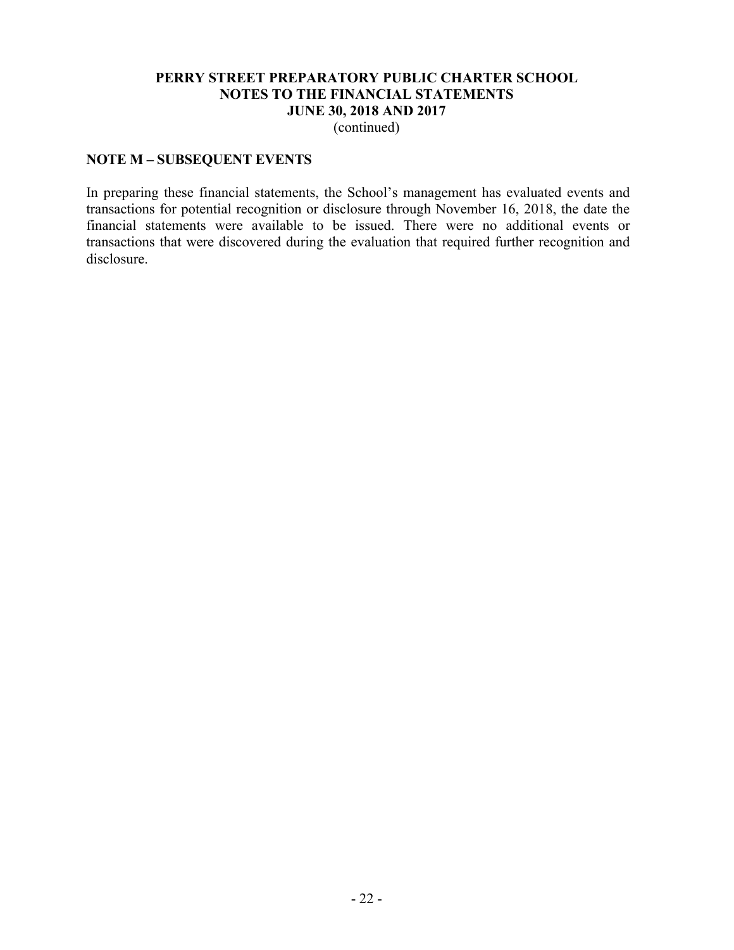(continued)

### **NOTE M – SUBSEQUENT EVENTS**

In preparing these financial statements, the School's management has evaluated events and transactions for potential recognition or disclosure through November 16, 2018, the date the financial statements were available to be issued. There were no additional events or transactions that were discovered during the evaluation that required further recognition and disclosure.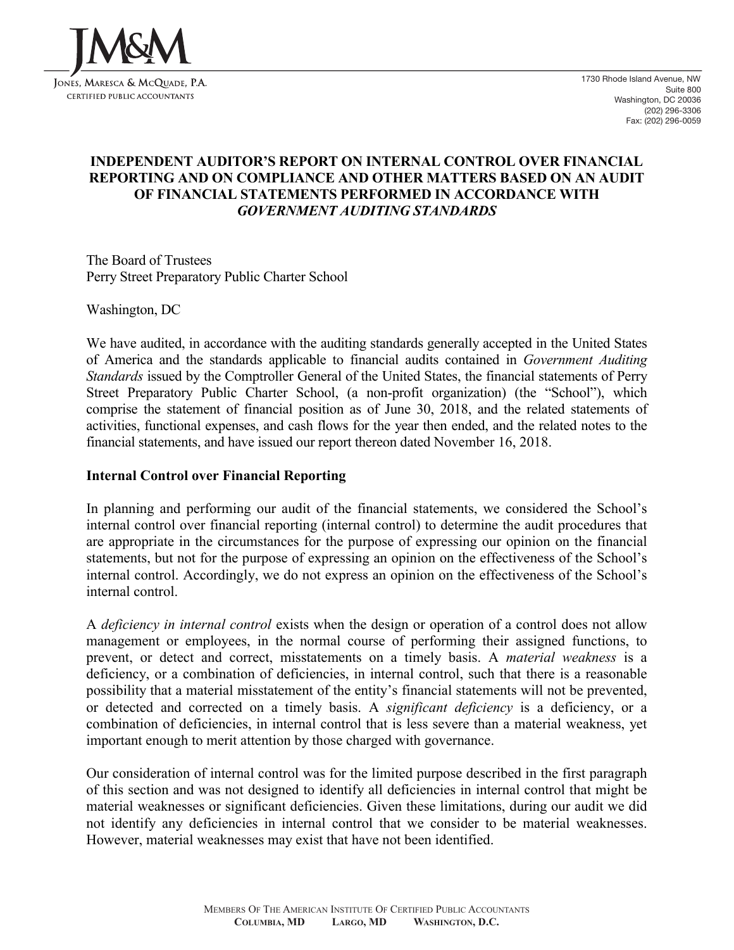

# **INDEPENDENT AUDITOR'S REPORT ON INTERNAL CONTROL OVER FINANCIAL REPORTING AND ON COMPLIANCE AND OTHER MATTERS BASED ON AN AUDIT OF FINANCIAL STATEMENTS PERFORMED IN ACCORDANCE WITH** *GOVERNMENT AUDITING STANDARDS*

The Board of Trustees Perry Street Preparatory Public Charter School

Washington, DC

We have audited, in accordance with the auditing standards generally accepted in the United States of America and the standards applicable to financial audits contained in *Government Auditing Standards* issued by the Comptroller General of the United States, the financial statements of Perry Street Preparatory Public Charter School, (a non-profit organization) (the "School"), which comprise the statement of financial position as of June 30, 2018, and the related statements of activities, functional expenses, and cash flows for the year then ended, and the related notes to the financial statements, and have issued our report thereon dated November 16, 2018.

### **Internal Control over Financial Reporting**

In planning and performing our audit of the financial statements, we considered the School's internal control over financial reporting (internal control) to determine the audit procedures that are appropriate in the circumstances for the purpose of expressing our opinion on the financial statements, but not for the purpose of expressing an opinion on the effectiveness of the School's internal control. Accordingly, we do not express an opinion on the effectiveness of the School's internal control.

A *deficiency in internal control* exists when the design or operation of a control does not allow management or employees, in the normal course of performing their assigned functions, to prevent, or detect and correct, misstatements on a timely basis. A *material weakness* is a deficiency, or a combination of deficiencies, in internal control, such that there is a reasonable possibility that a material misstatement of the entity's financial statements will not be prevented, or detected and corrected on a timely basis. A *significant deficiency* is a deficiency, or a combination of deficiencies, in internal control that is less severe than a material weakness, yet important enough to merit attention by those charged with governance.

Our consideration of internal control was for the limited purpose described in the first paragraph of this section and was not designed to identify all deficiencies in internal control that might be material weaknesses or significant deficiencies. Given these limitations, during our audit we did not identify any deficiencies in internal control that we consider to be material weaknesses. However, material weaknesses may exist that have not been identified.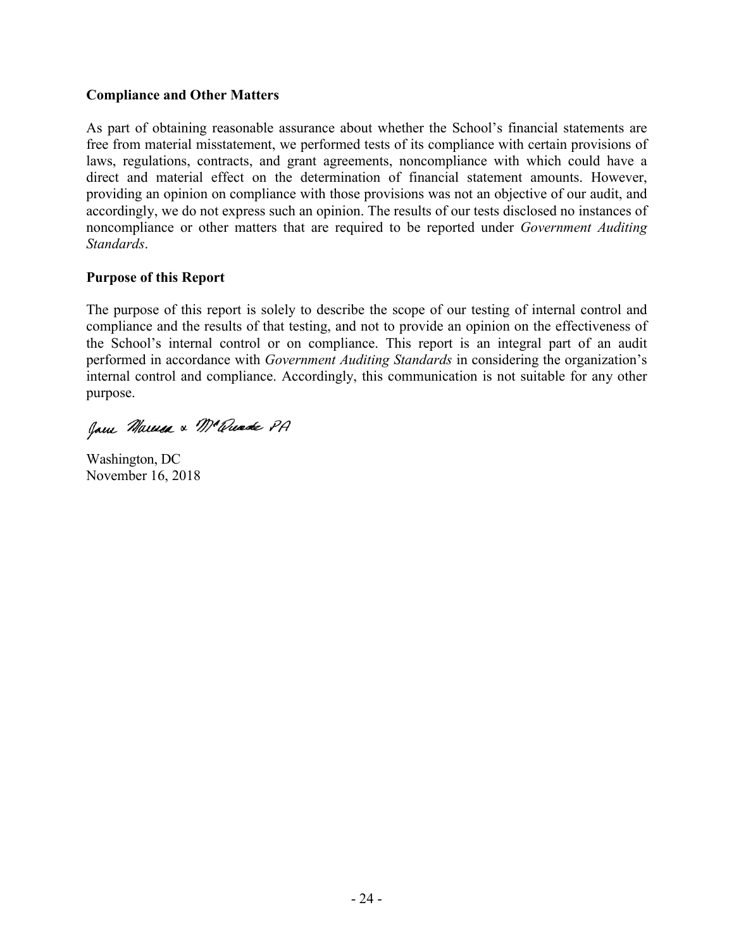## **Compliance and Other Matters**

As part of obtaining reasonable assurance about whether the School's financial statements are free from material misstatement, we performed tests of its compliance with certain provisions of laws, regulations, contracts, and grant agreements, noncompliance with which could have a direct and material effect on the determination of financial statement amounts. However, providing an opinion on compliance with those provisions was not an objective of our audit, and accordingly, we do not express such an opinion. The results of our tests disclosed no instances of noncompliance or other matters that are required to be reported under *Government Auditing Standards*.

## **Purpose of this Report**

The purpose of this report is solely to describe the scope of our testing of internal control and compliance and the results of that testing, and not to provide an opinion on the effectiveness of the School's internal control or on compliance. This report is an integral part of an audit performed in accordance with *Government Auditing Standards* in considering the organization's internal control and compliance. Accordingly, this communication is not suitable for any other purpose.

Jam Marca & M'Quade PA

Washington, DC November 16, 2018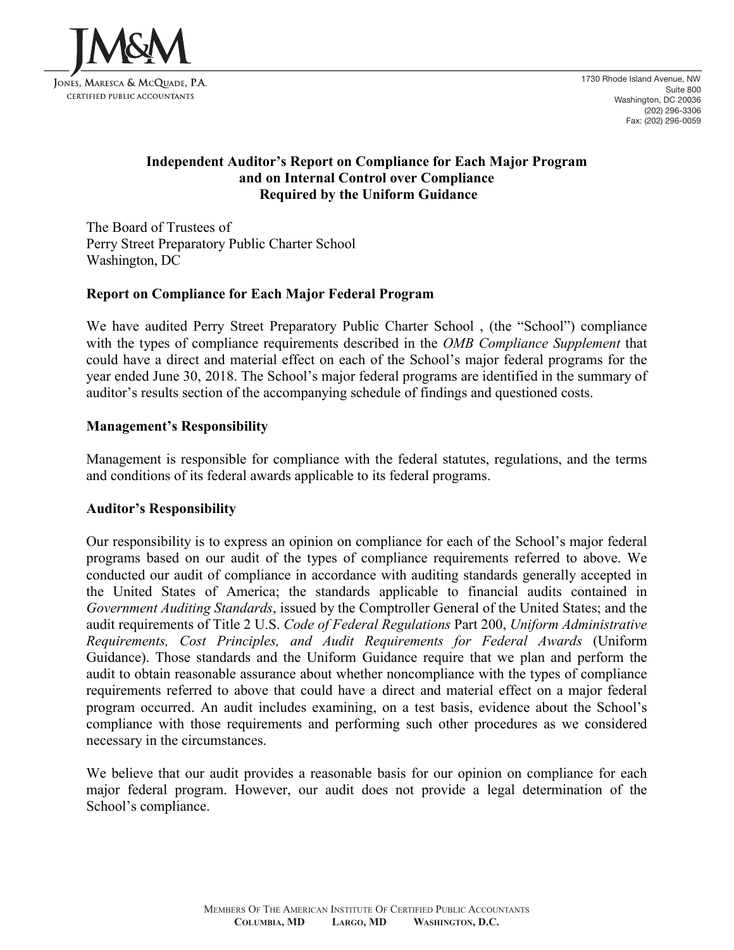

## **Independent Auditor's Report on Compliance for Each Major Program and on Internal Control over Compliance Required by the Uniform Guidance**

The Board of Trustees of Perry Street Preparatory Public Charter School Washington, DC

## **Report on Compliance for Each Major Federal Program**

We have audited Perry Street Preparatory Public Charter School , (the "School") compliance with the types of compliance requirements described in the *OMB Compliance Supplement* that could have a direct and material effect on each of the School's major federal programs for the year ended June 30, 2018. The School's major federal programs are identified in the summary of auditor's results section of the accompanying schedule of findings and questioned costs.

## **Management's Responsibility**

Management is responsible for compliance with the federal statutes, regulations, and the terms and conditions of its federal awards applicable to its federal programs.

### **Auditor's Responsibility**

Our responsibility is to express an opinion on compliance for each of the School's major federal programs based on our audit of the types of compliance requirements referred to above. We conducted our audit of compliance in accordance with auditing standards generally accepted in the United States of America; the standards applicable to financial audits contained in *Government Auditing Standards*, issued by the Comptroller General of the United States; and the audit requirements of Title 2 U.S. *Code of Federal Regulations* Part 200, *Uniform Administrative Requirements, Cost Principles, and Audit Requirements for Federal Awards* (Uniform Guidance). Those standards and the Uniform Guidance require that we plan and perform the audit to obtain reasonable assurance about whether noncompliance with the types of compliance requirements referred to above that could have a direct and material effect on a major federal program occurred. An audit includes examining, on a test basis, evidence about the School's compliance with those requirements and performing such other procedures as we considered necessary in the circumstances.

We believe that our audit provides a reasonable basis for our opinion on compliance for each major federal program. However, our audit does not provide a legal determination of the School's compliance.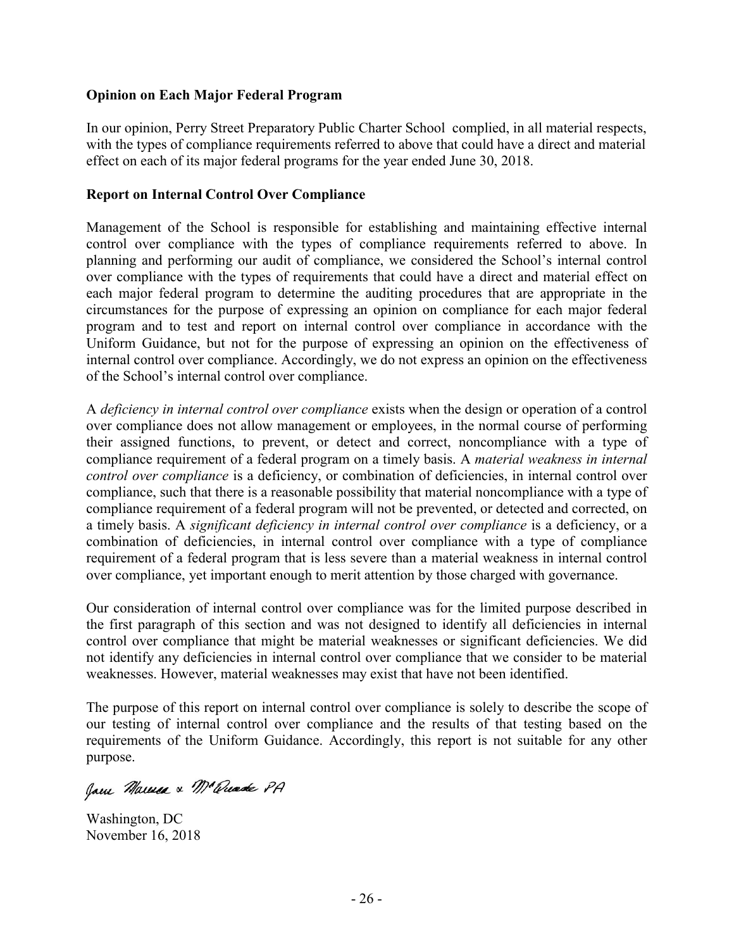## **Opinion on Each Major Federal Program**

In our opinion, Perry Street Preparatory Public Charter School complied, in all material respects, with the types of compliance requirements referred to above that could have a direct and material effect on each of its major federal programs for the year ended June 30, 2018.

## **Report on Internal Control Over Compliance**

Management of the School is responsible for establishing and maintaining effective internal control over compliance with the types of compliance requirements referred to above. In planning and performing our audit of compliance, we considered the School's internal control over compliance with the types of requirements that could have a direct and material effect on each major federal program to determine the auditing procedures that are appropriate in the circumstances for the purpose of expressing an opinion on compliance for each major federal program and to test and report on internal control over compliance in accordance with the Uniform Guidance, but not for the purpose of expressing an opinion on the effectiveness of internal control over compliance. Accordingly, we do not express an opinion on the effectiveness of the School's internal control over compliance.

A *deficiency in internal control over compliance* exists when the design or operation of a control over compliance does not allow management or employees, in the normal course of performing their assigned functions, to prevent, or detect and correct, noncompliance with a type of compliance requirement of a federal program on a timely basis. A *material weakness in internal control over compliance* is a deficiency, or combination of deficiencies, in internal control over compliance, such that there is a reasonable possibility that material noncompliance with a type of compliance requirement of a federal program will not be prevented, or detected and corrected, on a timely basis. A *significant deficiency in internal control over compliance* is a deficiency, or a combination of deficiencies, in internal control over compliance with a type of compliance requirement of a federal program that is less severe than a material weakness in internal control over compliance, yet important enough to merit attention by those charged with governance.

Our consideration of internal control over compliance was for the limited purpose described in the first paragraph of this section and was not designed to identify all deficiencies in internal control over compliance that might be material weaknesses or significant deficiencies. We did not identify any deficiencies in internal control over compliance that we consider to be material weaknesses. However, material weaknesses may exist that have not been identified.

The purpose of this report on internal control over compliance is solely to describe the scope of our testing of internal control over compliance and the results of that testing based on the requirements of the Uniform Guidance. Accordingly, this report is not suitable for any other purpose.

Jam Marina & Mc Quade PA

Washington, DC November 16, 2018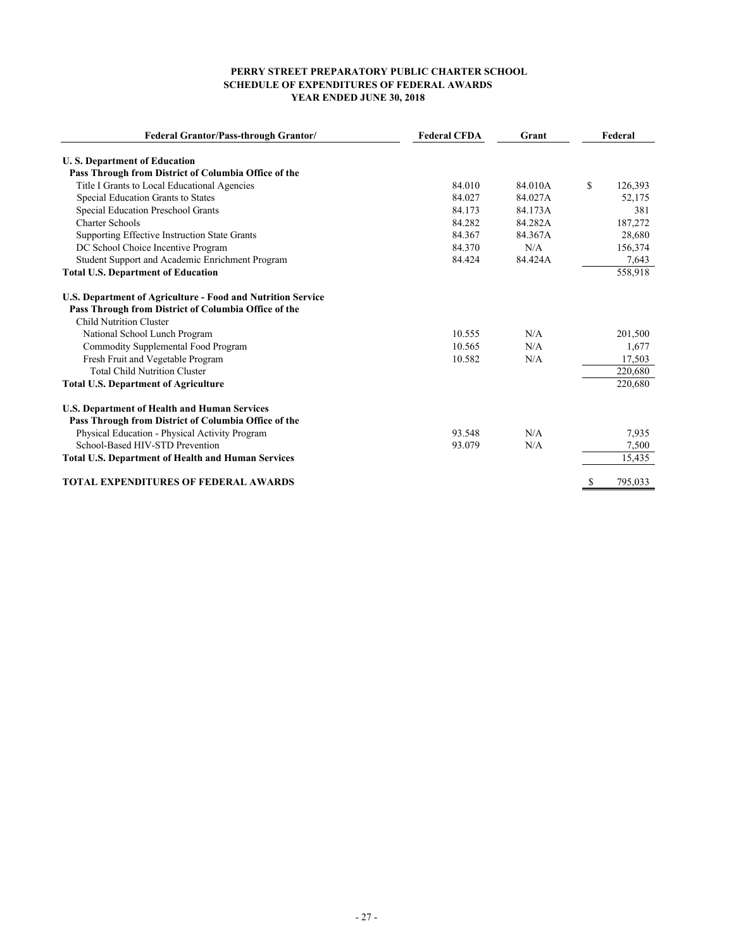#### **SCHEDULE OF EXPENDITURES OF FEDERAL AWARDS YEAR ENDED JUNE 30, 2018 PERRY STREET PREPARATORY PUBLIC CHARTER SCHOOL**

| <b>Federal Grantor/Pass-through Grantor/</b>                                                                               | <b>Federal CFDA</b> | Grant   | Federal       |
|----------------------------------------------------------------------------------------------------------------------------|---------------------|---------|---------------|
| <b>U.S. Department of Education</b>                                                                                        |                     |         |               |
| Pass Through from District of Columbia Office of the                                                                       |                     |         |               |
| Title I Grants to Local Educational Agencies                                                                               | 84.010              | 84.010A | \$<br>126,393 |
| Special Education Grants to States                                                                                         | 84.027              | 84.027A | 52,175        |
| Special Education Preschool Grants                                                                                         | 84.173              | 84.173A | 381           |
| <b>Charter Schools</b>                                                                                                     | 84.282              | 84.282A | 187,272       |
| Supporting Effective Instruction State Grants                                                                              | 84.367              | 84.367A | 28,680        |
| DC School Choice Incentive Program                                                                                         | 84.370              | N/A     | 156,374       |
| Student Support and Academic Enrichment Program                                                                            | 84.424              | 84.424A | 7,643         |
| <b>Total U.S. Department of Education</b>                                                                                  |                     |         | 558,918       |
| <b>U.S. Department of Agriculture - Food and Nutrition Service</b><br>Pass Through from District of Columbia Office of the |                     |         |               |
| <b>Child Nutrition Cluster</b>                                                                                             |                     |         |               |
| National School Lunch Program                                                                                              | 10.555              | N/A     | 201,500       |
| Commodity Supplemental Food Program                                                                                        | 10.565              | N/A     | 1,677         |
| Fresh Fruit and Vegetable Program                                                                                          | 10.582              | N/A     | 17,503        |
| <b>Total Child Nutrition Cluster</b>                                                                                       |                     |         | 220,680       |
| <b>Total U.S. Department of Agriculture</b>                                                                                |                     |         | 220,680       |
| <b>U.S. Department of Health and Human Services</b><br>Pass Through from District of Columbia Office of the                |                     |         |               |
| Physical Education - Physical Activity Program                                                                             | 93.548              | N/A     | 7,935         |
| School-Based HIV-STD Prevention                                                                                            | 93.079              | N/A     | 7,500         |
| <b>Total U.S. Department of Health and Human Services</b>                                                                  |                     |         | 15,435        |
| <b>TOTAL EXPENDITURES OF FEDERAL AWARDS</b>                                                                                |                     |         | \$<br>795,033 |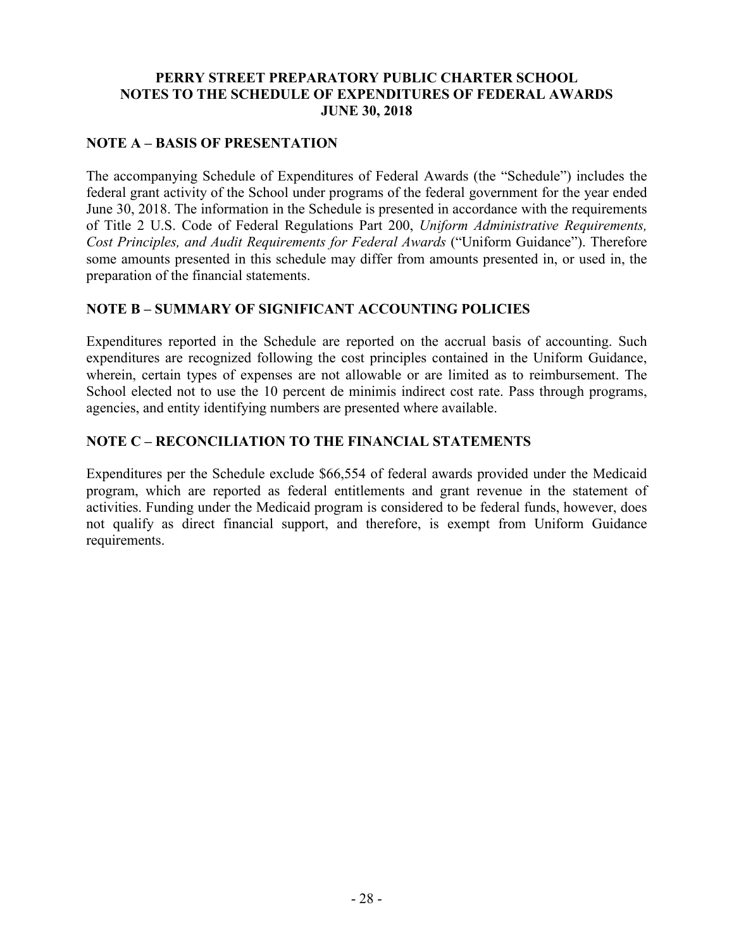## **PERRY STREET PREPARATORY PUBLIC CHARTER SCHOOL NOTES TO THE SCHEDULE OF EXPENDITURES OF FEDERAL AWARDS JUNE 30, 2018**

# **NOTE A – BASIS OF PRESENTATION**

The accompanying Schedule of Expenditures of Federal Awards (the "Schedule") includes the federal grant activity of the School under programs of the federal government for the year ended June 30, 2018. The information in the Schedule is presented in accordance with the requirements of Title 2 U.S. Code of Federal Regulations Part 200, *Uniform Administrative Requirements, Cost Principles, and Audit Requirements for Federal Awards* ("Uniform Guidance"). Therefore some amounts presented in this schedule may differ from amounts presented in, or used in, the preparation of the financial statements.

# **NOTE B – SUMMARY OF SIGNIFICANT ACCOUNTING POLICIES**

Expenditures reported in the Schedule are reported on the accrual basis of accounting. Such expenditures are recognized following the cost principles contained in the Uniform Guidance, wherein, certain types of expenses are not allowable or are limited as to reimbursement. The School elected not to use the 10 percent de minimis indirect cost rate. Pass through programs, agencies, and entity identifying numbers are presented where available.

# **NOTE C – RECONCILIATION TO THE FINANCIAL STATEMENTS**

Expenditures per the Schedule exclude \$66,554 of federal awards provided under the Medicaid program, which are reported as federal entitlements and grant revenue in the statement of activities. Funding under the Medicaid program is considered to be federal funds, however, does not qualify as direct financial support, and therefore, is exempt from Uniform Guidance requirements.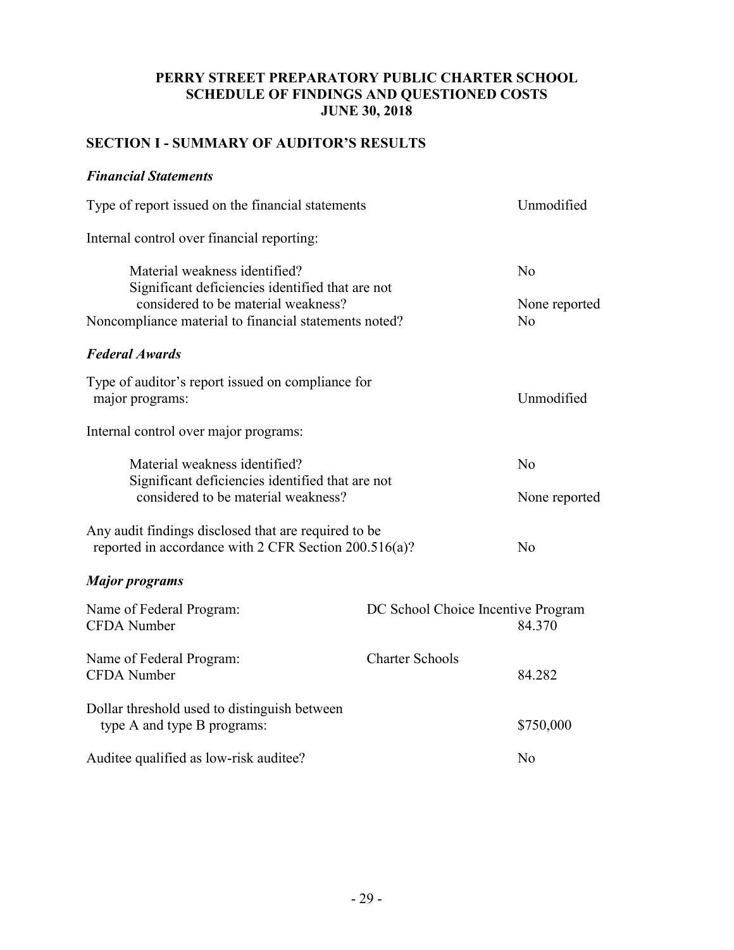## **PERRY STREET PREPARATORY PUBLIC CHARTER SCHOOL SCHEDULE OF FINDINGS AND QUESTIONED COSTS JUNE 30, 2018**

# **SECTION I - SUMMARY OF AUDITOR'S RESULTS**

# *Financial Statements*

| Type of report issued on the financial statements                                                                        | Unmodified                         |                |
|--------------------------------------------------------------------------------------------------------------------------|------------------------------------|----------------|
| Internal control over financial reporting:                                                                               |                                    |                |
| Material weakness identified?<br>Significant deficiencies identified that are not                                        |                                    | No             |
| considered to be material weakness?<br>Noncompliance material to financial statements noted?                             | None reported<br>No                |                |
| <b>Federal Awards</b>                                                                                                    |                                    |                |
| Type of auditor's report issued on compliance for<br>major programs:                                                     | Unmodified                         |                |
| Internal control over major programs:                                                                                    |                                    |                |
| Material weakness identified?<br>Significant deficiencies identified that are not<br>considered to be material weakness? |                                    | N <sub>o</sub> |
|                                                                                                                          |                                    | None reported  |
| Any audit findings disclosed that are required to be<br>reported in accordance with 2 CFR Section 200.516(a)?            |                                    | N <sub>o</sub> |
| <b>Major programs</b>                                                                                                    |                                    |                |
| Name of Federal Program:<br><b>CFDA</b> Number                                                                           | DC School Choice Incentive Program | 84.370         |
| Name of Federal Program:<br><b>CFDA</b> Number                                                                           | <b>Charter Schools</b>             | 84.282         |
| Dollar threshold used to distinguish between<br>type A and type B programs:                                              |                                    | \$750,000      |
| Auditee qualified as low-risk auditee?                                                                                   |                                    | N <sub>0</sub> |